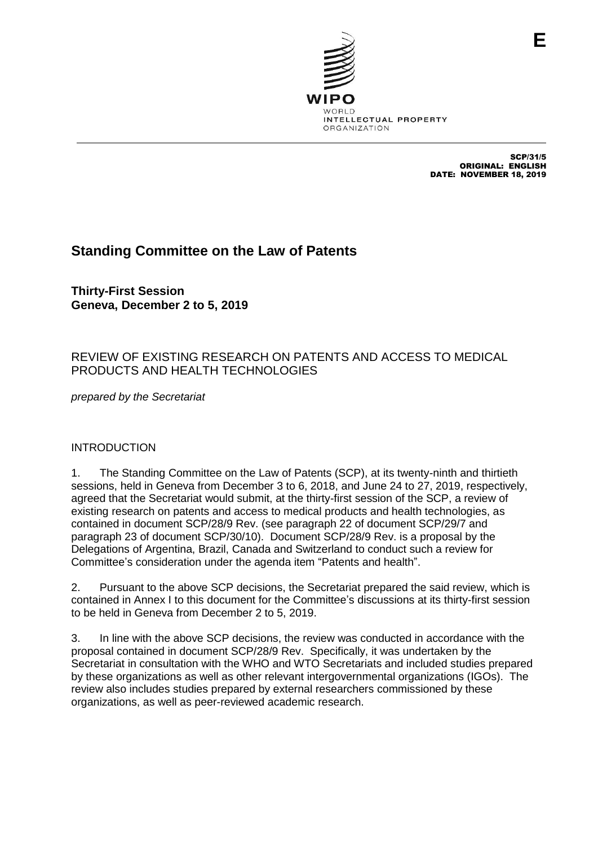

SCP/31/5 ORIGINAL: ENGLISH DATE: NOVEMBER 18, 2019

# **Standing Committee on the Law of Patents**

**Thirty-First Session Geneva, December 2 to 5, 2019**

## REVIEW OF EXISTING RESEARCH ON PATENTS AND ACCESS TO MEDICAL PRODUCTS AND HEALTH TECHNOLOGIES

*prepared by the Secretariat*

## INTRODUCTION

1. The Standing Committee on the Law of Patents (SCP), at its twenty-ninth and thirtieth sessions, held in Geneva from December 3 to 6, 2018, and June 24 to 27, 2019, respectively, agreed that the Secretariat would submit, at the thirty-first session of the SCP, a review of existing research on patents and access to medical products and health technologies, as contained in document SCP/28/9 Rev. (see paragraph 22 of document SCP/29/7 and paragraph 23 of document SCP/30/10). Document SCP/28/9 Rev. is a proposal by the Delegations of Argentina, Brazil, Canada and Switzerland to conduct such a review for Committee's consideration under the agenda item "Patents and health".

2. Pursuant to the above SCP decisions, the Secretariat prepared the said review, which is contained in Annex I to this document for the Committee's discussions at its thirty-first session to be held in Geneva from December 2 to 5, 2019.

3. In line with the above SCP decisions, the review was conducted in accordance with the proposal contained in document SCP/28/9 Rev. Specifically, it was undertaken by the Secretariat in consultation with the WHO and WTO Secretariats and included studies prepared by these organizations as well as other relevant intergovernmental organizations (IGOs). The review also includes studies prepared by external researchers commissioned by these organizations, as well as peer-reviewed academic research.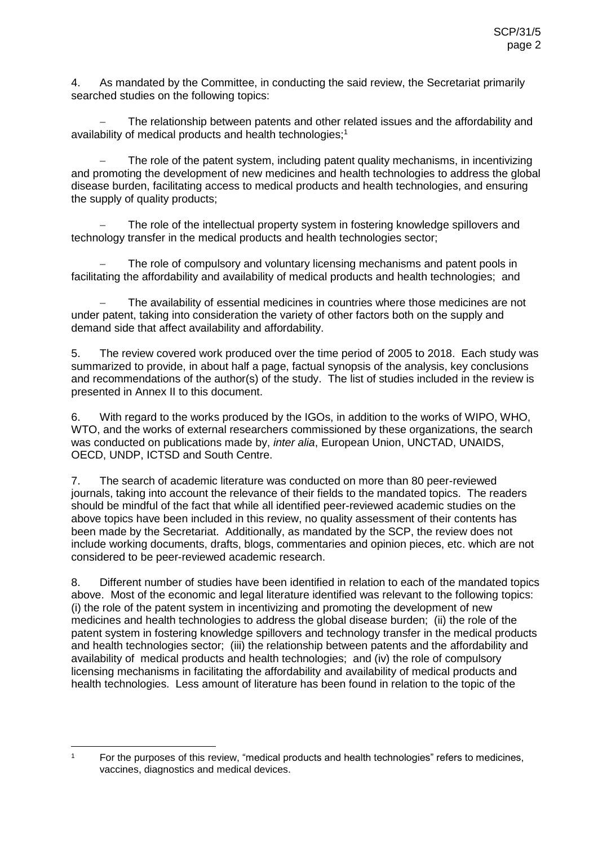4. As mandated by the Committee, in conducting the said review, the Secretariat primarily searched studies on the following topics:

 The relationship between patents and other related issues and the affordability and availability of medical products and health technologies;<sup>1</sup>

 The role of the patent system, including patent quality mechanisms, in incentivizing and promoting the development of new medicines and health technologies to address the global disease burden, facilitating access to medical products and health technologies, and ensuring the supply of quality products;

 The role of the intellectual property system in fostering knowledge spillovers and technology transfer in the medical products and health technologies sector;

 The role of compulsory and voluntary licensing mechanisms and patent pools in facilitating the affordability and availability of medical products and health technologies; and

 The availability of essential medicines in countries where those medicines are not under patent, taking into consideration the variety of other factors both on the supply and demand side that affect availability and affordability.

5. The review covered work produced over the time period of 2005 to 2018. Each study was summarized to provide, in about half a page, factual synopsis of the analysis, key conclusions and recommendations of the author(s) of the study. The list of studies included in the review is presented in Annex II to this document.

6. With regard to the works produced by the IGOs, in addition to the works of WIPO, WHO, WTO, and the works of external researchers commissioned by these organizations, the search was conducted on publications made by, *inter alia*, European Union, UNCTAD, UNAIDS, OECD, UNDP, ICTSD and South Centre.

7. The search of academic literature was conducted on more than 80 peer-reviewed journals, taking into account the relevance of their fields to the mandated topics. The readers should be mindful of the fact that while all identified peer-reviewed academic studies on the above topics have been included in this review, no quality assessment of their contents has been made by the Secretariat. Additionally, as mandated by the SCP, the review does not include working documents, drafts, blogs, commentaries and opinion pieces, etc. which are not considered to be peer-reviewed academic research.

8. Different number of studies have been identified in relation to each of the mandated topics above. Most of the economic and legal literature identified was relevant to the following topics: (i) the role of the patent system in incentivizing and promoting the development of new medicines and health technologies to address the global disease burden; (ii) the role of the patent system in fostering knowledge spillovers and technology transfer in the medical products and health technologies sector; (iii) the relationship between patents and the affordability and availability of medical products and health technologies; and (iv) the role of compulsory licensing mechanisms in facilitating the affordability and availability of medical products and health technologies. Less amount of literature has been found in relation to the topic of the

 $\mathbf{1}$ 

<sup>1</sup> For the purposes of this review, "medical products and health technologies" refers to medicines, vaccines, diagnostics and medical devices.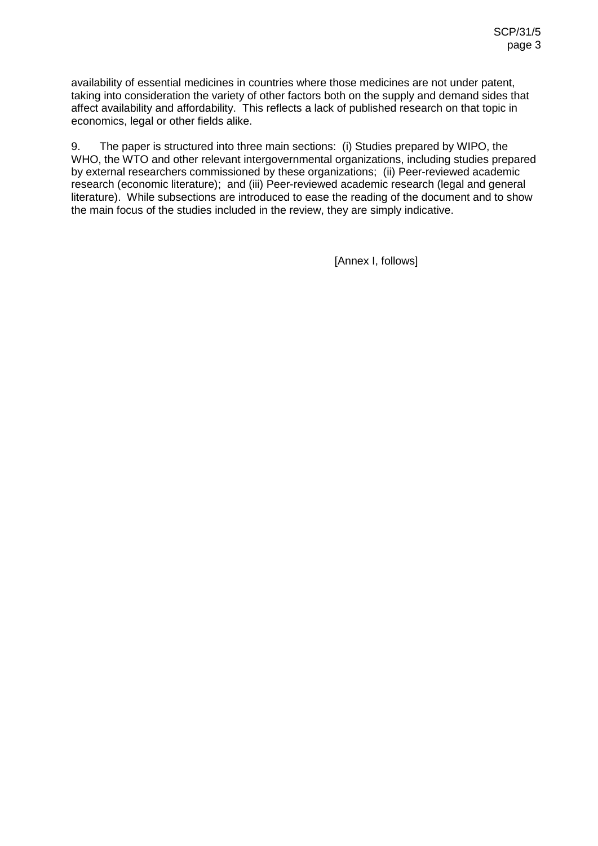availability of essential medicines in countries where those medicines are not under patent, taking into consideration the variety of other factors both on the supply and demand sides that affect availability and affordability. This reflects a lack of published research on that topic in economics, legal or other fields alike.

9. The paper is structured into three main sections: (i) Studies prepared by WIPO, the WHO, the WTO and other relevant intergovernmental organizations, including studies prepared by external researchers commissioned by these organizations; (ii) Peer-reviewed academic research (economic literature); and (iii) Peer-reviewed academic research (legal and general literature). While subsections are introduced to ease the reading of the document and to show the main focus of the studies included in the review, they are simply indicative.

[Annex I, follows]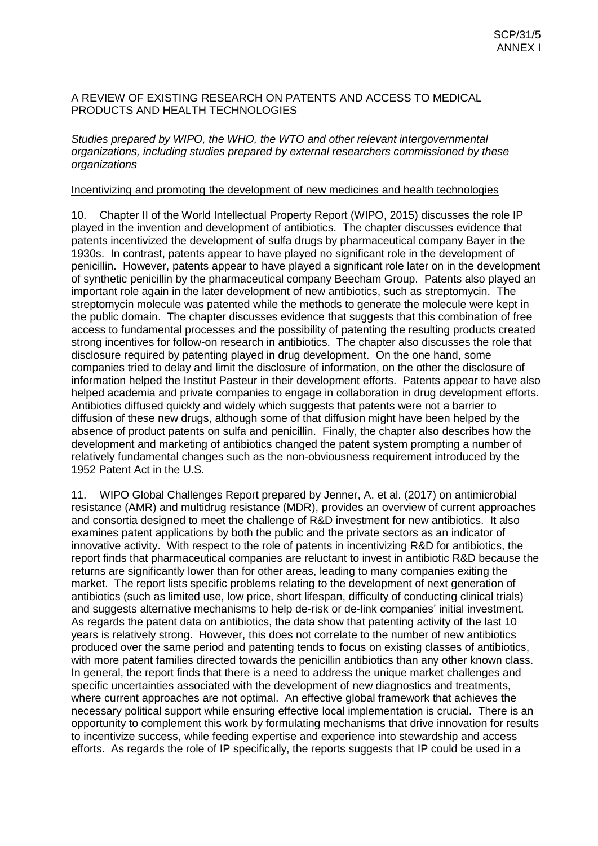## A REVIEW OF EXISTING RESEARCH ON PATENTS AND ACCESS TO MEDICAL PRODUCTS AND HEALTH TECHNOLOGIES

## *Studies prepared by WIPO, the WHO, the WTO and other relevant intergovernmental organizations, including studies prepared by external researchers commissioned by these organizations*

## Incentivizing and promoting the development of new medicines and health technologies

10. Chapter II of the World Intellectual Property Report (WIPO, 2015) discusses the role IP played in the invention and development of antibiotics. The chapter discusses evidence that patents incentivized the development of sulfa drugs by pharmaceutical company Bayer in the 1930s. In contrast, patents appear to have played no significant role in the development of penicillin. However, patents appear to have played a significant role later on in the development of synthetic penicillin by the pharmaceutical company Beecham Group. Patents also played an important role again in the later development of new antibiotics, such as streptomycin. The streptomycin molecule was patented while the methods to generate the molecule were kept in the public domain. The chapter discusses evidence that suggests that this combination of free access to fundamental processes and the possibility of patenting the resulting products created strong incentives for follow-on research in antibiotics. The chapter also discusses the role that disclosure required by patenting played in drug development. On the one hand, some companies tried to delay and limit the disclosure of information, on the other the disclosure of information helped the Institut Pasteur in their development efforts. Patents appear to have also helped academia and private companies to engage in collaboration in drug development efforts. Antibiotics diffused quickly and widely which suggests that patents were not a barrier to diffusion of these new drugs, although some of that diffusion might have been helped by the absence of product patents on sulfa and penicillin. Finally, the chapter also describes how the development and marketing of antibiotics changed the patent system prompting a number of relatively fundamental changes such as the non-obviousness requirement introduced by the 1952 Patent Act in the U.S.

11. WIPO Global Challenges Report prepared by Jenner, A. et al. (2017) on antimicrobial resistance (AMR) and multidrug resistance (MDR), provides an overview of current approaches and consortia designed to meet the challenge of R&D investment for new antibiotics. It also examines patent applications by both the public and the private sectors as an indicator of innovative activity. With respect to the role of patents in incentivizing R&D for antibiotics, the report finds that pharmaceutical companies are reluctant to invest in antibiotic R&D because the returns are significantly lower than for other areas, leading to many companies exiting the market. The report lists specific problems relating to the development of next generation of antibiotics (such as limited use, low price, short lifespan, difficulty of conducting clinical trials) and suggests alternative mechanisms to help de-risk or de-link companies' initial investment. As regards the patent data on antibiotics, the data show that patenting activity of the last 10 years is relatively strong. However, this does not correlate to the number of new antibiotics produced over the same period and patenting tends to focus on existing classes of antibiotics, with more patent families directed towards the penicillin antibiotics than any other known class. In general, the report finds that there is a need to address the unique market challenges and specific uncertainties associated with the development of new diagnostics and treatments, where current approaches are not optimal. An effective global framework that achieves the necessary political support while ensuring effective local implementation is crucial. There is an opportunity to complement this work by formulating mechanisms that drive innovation for results to incentivize success, while feeding expertise and experience into stewardship and access efforts. As regards the role of IP specifically, the reports suggests that IP could be used in a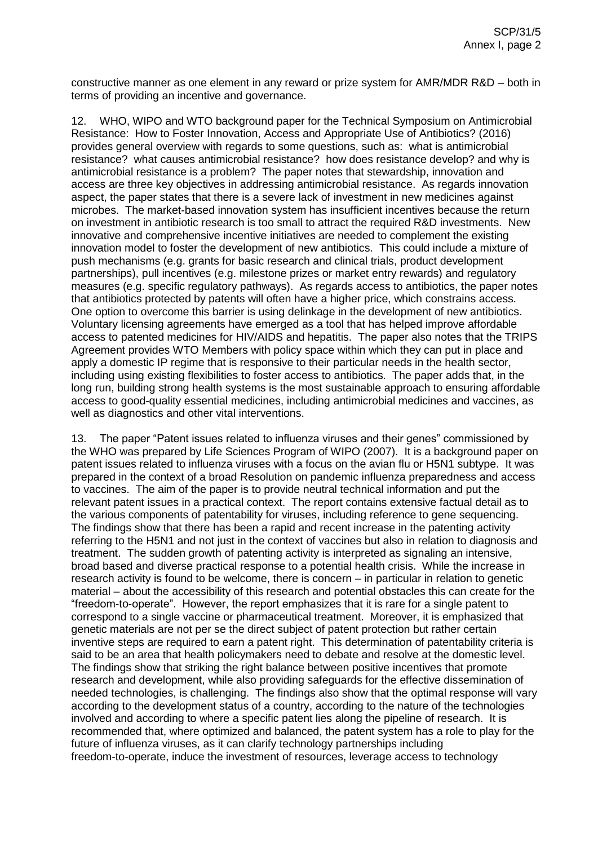constructive manner as one element in any reward or prize system for AMR/MDR R&D – both in terms of providing an incentive and governance.

12. WHO, WIPO and WTO background paper for the Technical Symposium on Antimicrobial Resistance: How to Foster Innovation, Access and Appropriate Use of Antibiotics? (2016) provides general overview with regards to some questions, such as: what is antimicrobial resistance? what causes antimicrobial resistance? how does resistance develop? and why is antimicrobial resistance is a problem? The paper notes that stewardship, innovation and access are three key objectives in addressing antimicrobial resistance. As regards innovation aspect, the paper states that there is a severe lack of investment in new medicines against microbes. The market-based innovation system has insufficient incentives because the return on investment in antibiotic research is too small to attract the required R&D investments. New innovative and comprehensive incentive initiatives are needed to complement the existing innovation model to foster the development of new antibiotics. This could include a mixture of push mechanisms (e.g. grants for basic research and clinical trials, product development partnerships), pull incentives (e.g. milestone prizes or market entry rewards) and regulatory measures (e.g. specific regulatory pathways). As regards access to antibiotics, the paper notes that antibiotics protected by patents will often have a higher price, which constrains access. One option to overcome this barrier is using delinkage in the development of new antibiotics. Voluntary licensing agreements have emerged as a tool that has helped improve affordable access to patented medicines for HIV/AIDS and hepatitis. The paper also notes that the TRIPS Agreement provides WTO Members with policy space within which they can put in place and apply a domestic IP regime that is responsive to their particular needs in the health sector, including using existing flexibilities to foster access to antibiotics. The paper adds that, in the long run, building strong health systems is the most sustainable approach to ensuring affordable access to good-quality essential medicines, including antimicrobial medicines and vaccines, as well as diagnostics and other vital interventions.

13. The paper "Patent issues related to influenza viruses and their genes" commissioned by the WHO was prepared by Life Sciences Program of WIPO (2007). It is a background paper on patent issues related to influenza viruses with a focus on the avian flu or H5N1 subtype. It was prepared in the context of a broad Resolution on pandemic influenza preparedness and access to vaccines. The aim of the paper is to provide neutral technical information and put the relevant patent issues in a practical context. The report contains extensive factual detail as to the various components of patentability for viruses, including reference to gene sequencing. The findings show that there has been a rapid and recent increase in the patenting activity referring to the H5N1 and not just in the context of vaccines but also in relation to diagnosis and treatment. The sudden growth of patenting activity is interpreted as signaling an intensive, broad based and diverse practical response to a potential health crisis. While the increase in research activity is found to be welcome, there is concern – in particular in relation to genetic material – about the accessibility of this research and potential obstacles this can create for the "freedom-to-operate". However, the report emphasizes that it is rare for a single patent to correspond to a single vaccine or pharmaceutical treatment. Moreover, it is emphasized that genetic materials are not per se the direct subject of patent protection but rather certain inventive steps are required to earn a patent right. This determination of patentability criteria is said to be an area that health policymakers need to debate and resolve at the domestic level. The findings show that striking the right balance between positive incentives that promote research and development, while also providing safeguards for the effective dissemination of needed technologies, is challenging. The findings also show that the optimal response will vary according to the development status of a country, according to the nature of the technologies involved and according to where a specific patent lies along the pipeline of research. It is recommended that, where optimized and balanced, the patent system has a role to play for the future of influenza viruses, as it can clarify technology partnerships including freedom-to-operate, induce the investment of resources, leverage access to technology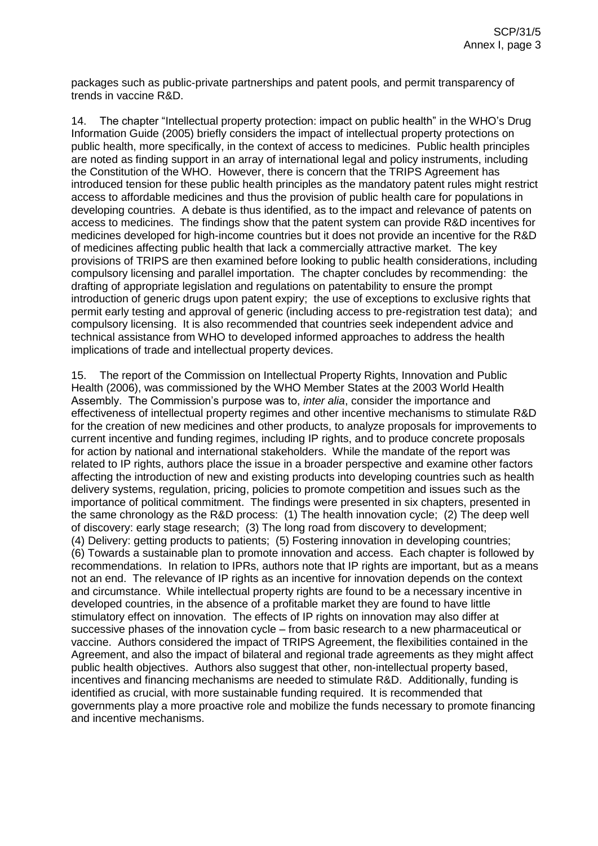packages such as public-private partnerships and patent pools, and permit transparency of trends in vaccine R&D.

14. The chapter "Intellectual property protection: impact on public health" in the WHO's Drug Information Guide (2005) briefly considers the impact of intellectual property protections on public health, more specifically, in the context of access to medicines. Public health principles are noted as finding support in an array of international legal and policy instruments, including the Constitution of the WHO. However, there is concern that the TRIPS Agreement has introduced tension for these public health principles as the mandatory patent rules might restrict access to affordable medicines and thus the provision of public health care for populations in developing countries. A debate is thus identified, as to the impact and relevance of patents on access to medicines. The findings show that the patent system can provide R&D incentives for medicines developed for high-income countries but it does not provide an incentive for the R&D of medicines affecting public health that lack a commercially attractive market. The key provisions of TRIPS are then examined before looking to public health considerations, including compulsory licensing and parallel importation. The chapter concludes by recommending: the drafting of appropriate legislation and regulations on patentability to ensure the prompt introduction of generic drugs upon patent expiry; the use of exceptions to exclusive rights that permit early testing and approval of generic (including access to pre-registration test data); and compulsory licensing. It is also recommended that countries seek independent advice and technical assistance from WHO to developed informed approaches to address the health implications of trade and intellectual property devices.

15. The report of the Commission on Intellectual Property Rights, Innovation and Public Health (2006), was commissioned by the WHO Member States at the 2003 World Health Assembly. The Commission's purpose was to, *inter alia*, consider the importance and effectiveness of intellectual property regimes and other incentive mechanisms to stimulate R&D for the creation of new medicines and other products, to analyze proposals for improvements to current incentive and funding regimes, including IP rights, and to produce concrete proposals for action by national and international stakeholders. While the mandate of the report was related to IP rights, authors place the issue in a broader perspective and examine other factors affecting the introduction of new and existing products into developing countries such as health delivery systems, regulation, pricing, policies to promote competition and issues such as the importance of political commitment. The findings were presented in six chapters, presented in the same chronology as the R&D process: (1) The health innovation cycle; (2) The deep well of discovery: early stage research; (3) The long road from discovery to development; (4) Delivery: getting products to patients; (5) Fostering innovation in developing countries; (6) Towards a sustainable plan to promote innovation and access. Each chapter is followed by recommendations. In relation to IPRs, authors note that IP rights are important, but as a means not an end. The relevance of IP rights as an incentive for innovation depends on the context and circumstance. While intellectual property rights are found to be a necessary incentive in developed countries, in the absence of a profitable market they are found to have little stimulatory effect on innovation. The effects of IP rights on innovation may also differ at successive phases of the innovation cycle – from basic research to a new pharmaceutical or vaccine. Authors considered the impact of TRIPS Agreement, the flexibilities contained in the Agreement, and also the impact of bilateral and regional trade agreements as they might affect public health objectives. Authors also suggest that other, non-intellectual property based, incentives and financing mechanisms are needed to stimulate R&D. Additionally, funding is identified as crucial, with more sustainable funding required. It is recommended that governments play a more proactive role and mobilize the funds necessary to promote financing and incentive mechanisms.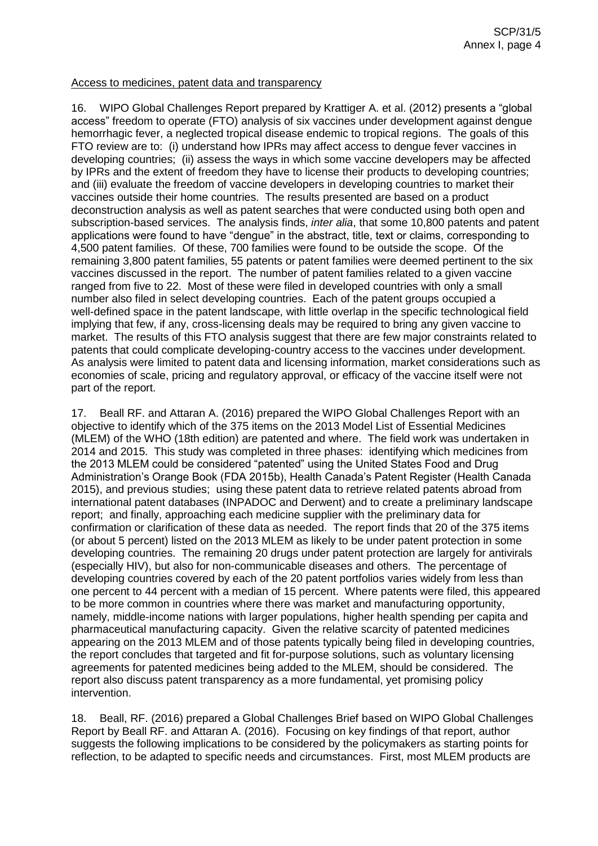## Access to medicines, patent data and transparency

16. WIPO Global Challenges Report prepared by Krattiger A. et al. (2012) presents a "global access" freedom to operate (FTO) analysis of six vaccines under development against dengue hemorrhagic fever, a neglected tropical disease endemic to tropical regions. The goals of this FTO review are to: (i) understand how IPRs may affect access to dengue fever vaccines in developing countries; (ii) assess the ways in which some vaccine developers may be affected by IPRs and the extent of freedom they have to license their products to developing countries; and (iii) evaluate the freedom of vaccine developers in developing countries to market their vaccines outside their home countries. The results presented are based on a product deconstruction analysis as well as patent searches that were conducted using both open and subscription-based services. The analysis finds, *inter alia*, that some 10,800 patents and patent applications were found to have "dengue" in the abstract, title, text or claims, corresponding to 4,500 patent families. Of these, 700 families were found to be outside the scope. Of the remaining 3,800 patent families, 55 patents or patent families were deemed pertinent to the six vaccines discussed in the report. The number of patent families related to a given vaccine ranged from five to 22. Most of these were filed in developed countries with only a small number also filed in select developing countries. Each of the patent groups occupied a well-defined space in the patent landscape, with little overlap in the specific technological field implying that few, if any, cross-licensing deals may be required to bring any given vaccine to market. The results of this FTO analysis suggest that there are few major constraints related to patents that could complicate developing-country access to the vaccines under development. As analysis were limited to patent data and licensing information, market considerations such as economies of scale, pricing and regulatory approval, or efficacy of the vaccine itself were not part of the report.

17. Beall RF. and Attaran A. (2016) prepared the WIPO Global Challenges Report with an objective to identify which of the 375 items on the 2013 Model List of Essential Medicines (MLEM) of the WHO (18th edition) are patented and where. The field work was undertaken in 2014 and 2015. This study was completed in three phases: identifying which medicines from the 2013 MLEM could be considered "patented" using the United States Food and Drug Administration's Orange Book (FDA 2015b), Health Canada's Patent Register (Health Canada 2015), and previous studies; using these patent data to retrieve related patents abroad from international patent databases (INPADOC and Derwent) and to create a preliminary landscape report; and finally, approaching each medicine supplier with the preliminary data for confirmation or clarification of these data as needed. The report finds that 20 of the 375 items (or about 5 percent) listed on the 2013 MLEM as likely to be under patent protection in some developing countries. The remaining 20 drugs under patent protection are largely for antivirals (especially HIV), but also for non-communicable diseases and others. The percentage of developing countries covered by each of the 20 patent portfolios varies widely from less than one percent to 44 percent with a median of 15 percent. Where patents were filed, this appeared to be more common in countries where there was market and manufacturing opportunity, namely, middle-income nations with larger populations, higher health spending per capita and pharmaceutical manufacturing capacity. Given the relative scarcity of patented medicines appearing on the 2013 MLEM and of those patents typically being filed in developing countries, the report concludes that targeted and fit for-purpose solutions, such as voluntary licensing agreements for patented medicines being added to the MLEM, should be considered. The report also discuss patent transparency as a more fundamental, yet promising policy intervention.

18. Beall, RF. (2016) prepared a Global Challenges Brief based on WIPO Global Challenges Report by Beall RF. and Attaran A. (2016). Focusing on key findings of that report, author suggests the following implications to be considered by the policymakers as starting points for reflection, to be adapted to specific needs and circumstances. First, most MLEM products are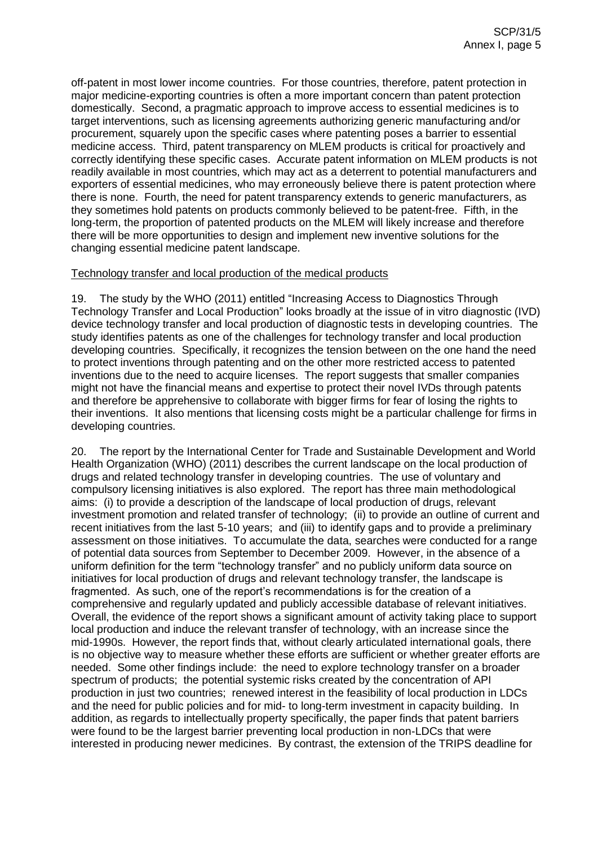off-patent in most lower income countries. For those countries, therefore, patent protection in major medicine-exporting countries is often a more important concern than patent protection domestically. Second, a pragmatic approach to improve access to essential medicines is to target interventions, such as licensing agreements authorizing generic manufacturing and/or procurement, squarely upon the specific cases where patenting poses a barrier to essential medicine access. Third, patent transparency on MLEM products is critical for proactively and correctly identifying these specific cases. Accurate patent information on MLEM products is not readily available in most countries, which may act as a deterrent to potential manufacturers and exporters of essential medicines, who may erroneously believe there is patent protection where there is none. Fourth, the need for patent transparency extends to generic manufacturers, as they sometimes hold patents on products commonly believed to be patent-free. Fifth, in the long-term, the proportion of patented products on the MLEM will likely increase and therefore there will be more opportunities to design and implement new inventive solutions for the changing essential medicine patent landscape.

## Technology transfer and local production of the medical products

19. The study by the WHO (2011) entitled "Increasing Access to Diagnostics Through Technology Transfer and Local Production" looks broadly at the issue of in vitro diagnostic (IVD) device technology transfer and local production of diagnostic tests in developing countries. The study identifies patents as one of the challenges for technology transfer and local production developing countries. Specifically, it recognizes the tension between on the one hand the need to protect inventions through patenting and on the other more restricted access to patented inventions due to the need to acquire licenses. The report suggests that smaller companies might not have the financial means and expertise to protect their novel IVDs through patents and therefore be apprehensive to collaborate with bigger firms for fear of losing the rights to their inventions. It also mentions that licensing costs might be a particular challenge for firms in developing countries.

20. The report by the International Center for Trade and Sustainable Development and World Health Organization (WHO) (2011) describes the current landscape on the local production of drugs and related technology transfer in developing countries. The use of voluntary and compulsory licensing initiatives is also explored. The report has three main methodological aims: (i) to provide a description of the landscape of local production of drugs, relevant investment promotion and related transfer of technology; (ii) to provide an outline of current and recent initiatives from the last 5-10 years; and (iii) to identify gaps and to provide a preliminary assessment on those initiatives. To accumulate the data, searches were conducted for a range of potential data sources from September to December 2009. However, in the absence of a uniform definition for the term "technology transfer" and no publicly uniform data source on initiatives for local production of drugs and relevant technology transfer, the landscape is fragmented. As such, one of the report's recommendations is for the creation of a comprehensive and regularly updated and publicly accessible database of relevant initiatives. Overall, the evidence of the report shows a significant amount of activity taking place to support local production and induce the relevant transfer of technology, with an increase since the mid-1990s. However, the report finds that, without clearly articulated international goals, there is no objective way to measure whether these efforts are sufficient or whether greater efforts are needed. Some other findings include: the need to explore technology transfer on a broader spectrum of products; the potential systemic risks created by the concentration of API production in just two countries; renewed interest in the feasibility of local production in LDCs and the need for public policies and for mid- to long-term investment in capacity building. In addition, as regards to intellectually property specifically, the paper finds that patent barriers were found to be the largest barrier preventing local production in non-LDCs that were interested in producing newer medicines. By contrast, the extension of the TRIPS deadline for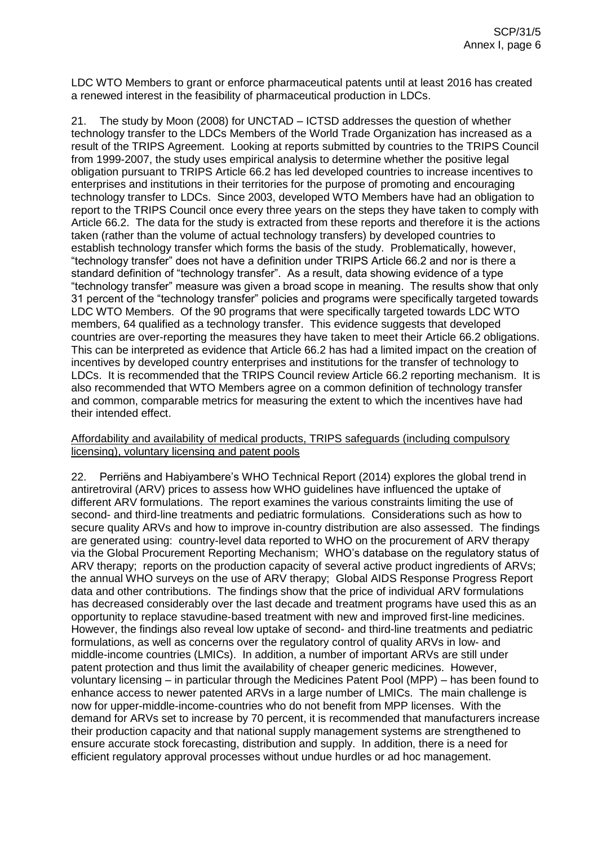LDC WTO Members to grant or enforce pharmaceutical patents until at least 2016 has created a renewed interest in the feasibility of pharmaceutical production in LDCs.

21. The study by Moon (2008) for UNCTAD – ICTSD addresses the question of whether technology transfer to the LDCs Members of the World Trade Organization has increased as a result of the TRIPS Agreement. Looking at reports submitted by countries to the TRIPS Council from 1999-2007, the study uses empirical analysis to determine whether the positive legal obligation pursuant to TRIPS Article 66.2 has led developed countries to increase incentives to enterprises and institutions in their territories for the purpose of promoting and encouraging technology transfer to LDCs. Since 2003, developed WTO Members have had an obligation to report to the TRIPS Council once every three years on the steps they have taken to comply with Article 66.2. The data for the study is extracted from these reports and therefore it is the actions taken (rather than the volume of actual technology transfers) by developed countries to establish technology transfer which forms the basis of the study. Problematically, however, "technology transfer" does not have a definition under TRIPS Article 66.2 and nor is there a standard definition of "technology transfer". As a result, data showing evidence of a type "technology transfer" measure was given a broad scope in meaning. The results show that only 31 percent of the "technology transfer" policies and programs were specifically targeted towards LDC WTO Members. Of the 90 programs that were specifically targeted towards LDC WTO members, 64 qualified as a technology transfer. This evidence suggests that developed countries are over-reporting the measures they have taken to meet their Article 66.2 obligations. This can be interpreted as evidence that Article 66.2 has had a limited impact on the creation of incentives by developed country enterprises and institutions for the transfer of technology to LDCs. It is recommended that the TRIPS Council review Article 66.2 reporting mechanism. It is also recommended that WTO Members agree on a common definition of technology transfer and common, comparable metrics for measuring the extent to which the incentives have had their intended effect.

## Affordability and availability of medical products, TRIPS safeguards (including compulsory licensing), voluntary licensing and patent pools

22. Perriëns and Habiyambere's WHO Technical Report (2014) explores the global trend in antiretroviral (ARV) prices to assess how WHO guidelines have influenced the uptake of different ARV formulations. The report examines the various constraints limiting the use of second- and third-line treatments and pediatric formulations. Considerations such as how to secure quality ARVs and how to improve in-country distribution are also assessed. The findings are generated using: country-level data reported to WHO on the procurement of ARV therapy via the Global Procurement Reporting Mechanism; WHO's database on the regulatory status of ARV therapy; reports on the production capacity of several active product ingredients of ARVs; the annual WHO surveys on the use of ARV therapy; Global AIDS Response Progress Report data and other contributions. The findings show that the price of individual ARV formulations has decreased considerably over the last decade and treatment programs have used this as an opportunity to replace stavudine-based treatment with new and improved first-line medicines. However, the findings also reveal low uptake of second- and third-line treatments and pediatric formulations, as well as concerns over the regulatory control of quality ARVs in low- and middle-income countries (LMICs). In addition, a number of important ARVs are still under patent protection and thus limit the availability of cheaper generic medicines. However, voluntary licensing – in particular through the Medicines Patent Pool (MPP) – has been found to enhance access to newer patented ARVs in a large number of LMICs. The main challenge is now for upper-middle-income-countries who do not benefit from MPP licenses. With the demand for ARVs set to increase by 70 percent, it is recommended that manufacturers increase their production capacity and that national supply management systems are strengthened to ensure accurate stock forecasting, distribution and supply. In addition, there is a need for efficient regulatory approval processes without undue hurdles or ad hoc management.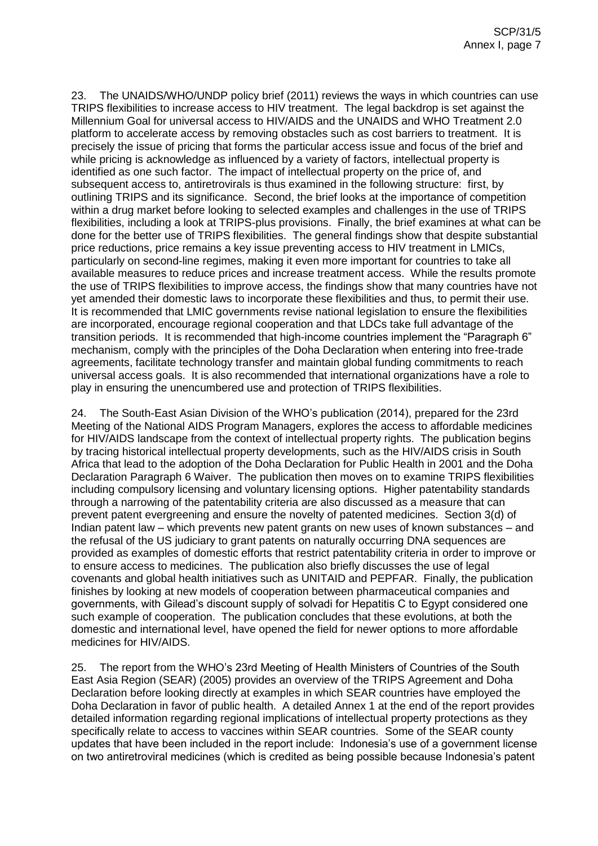23. The UNAIDS/WHO/UNDP policy brief (2011) reviews the ways in which countries can use TRIPS flexibilities to increase access to HIV treatment. The legal backdrop is set against the Millennium Goal for universal access to HIV/AIDS and the UNAIDS and WHO Treatment 2.0 platform to accelerate access by removing obstacles such as cost barriers to treatment. It is precisely the issue of pricing that forms the particular access issue and focus of the brief and while pricing is acknowledge as influenced by a variety of factors, intellectual property is identified as one such factor. The impact of intellectual property on the price of, and subsequent access to, antiretrovirals is thus examined in the following structure: first, by outlining TRIPS and its significance. Second, the brief looks at the importance of competition within a drug market before looking to selected examples and challenges in the use of TRIPS flexibilities, including a look at TRIPS-plus provisions. Finally, the brief examines at what can be done for the better use of TRIPS flexibilities. The general findings show that despite substantial price reductions, price remains a key issue preventing access to HIV treatment in LMICs, particularly on second-line regimes, making it even more important for countries to take all available measures to reduce prices and increase treatment access. While the results promote the use of TRIPS flexibilities to improve access, the findings show that many countries have not yet amended their domestic laws to incorporate these flexibilities and thus, to permit their use. It is recommended that LMIC governments revise national legislation to ensure the flexibilities are incorporated, encourage regional cooperation and that LDCs take full advantage of the transition periods. It is recommended that high-income countries implement the "Paragraph 6" mechanism, comply with the principles of the Doha Declaration when entering into free-trade agreements, facilitate technology transfer and maintain global funding commitments to reach universal access goals. It is also recommended that international organizations have a role to play in ensuring the unencumbered use and protection of TRIPS flexibilities.

24. The South-East Asian Division of the WHO's publication (2014), prepared for the 23rd Meeting of the National AIDS Program Managers, explores the access to affordable medicines for HIV/AIDS landscape from the context of intellectual property rights. The publication begins by tracing historical intellectual property developments, such as the HIV/AIDS crisis in South Africa that lead to the adoption of the Doha Declaration for Public Health in 2001 and the Doha Declaration Paragraph 6 Waiver. The publication then moves on to examine TRIPS flexibilities including compulsory licensing and voluntary licensing options. Higher patentability standards through a narrowing of the patentability criteria are also discussed as a measure that can prevent patent evergreening and ensure the novelty of patented medicines. Section 3(d) of Indian patent law – which prevents new patent grants on new uses of known substances – and the refusal of the US judiciary to grant patents on naturally occurring DNA sequences are provided as examples of domestic efforts that restrict patentability criteria in order to improve or to ensure access to medicines. The publication also briefly discusses the use of legal covenants and global health initiatives such as UNITAID and PEPFAR. Finally, the publication finishes by looking at new models of cooperation between pharmaceutical companies and governments, with Gilead's discount supply of solvadi for Hepatitis C to Egypt considered one such example of cooperation. The publication concludes that these evolutions, at both the domestic and international level, have opened the field for newer options to more affordable medicines for HIV/AIDS.

25. The report from the WHO's 23rd Meeting of Health Ministers of Countries of the South East Asia Region (SEAR) (2005) provides an overview of the TRIPS Agreement and Doha Declaration before looking directly at examples in which SEAR countries have employed the Doha Declaration in favor of public health. A detailed Annex 1 at the end of the report provides detailed information regarding regional implications of intellectual property protections as they specifically relate to access to vaccines within SEAR countries. Some of the SEAR county updates that have been included in the report include: Indonesia's use of a government license on two antiretroviral medicines (which is credited as being possible because Indonesia's patent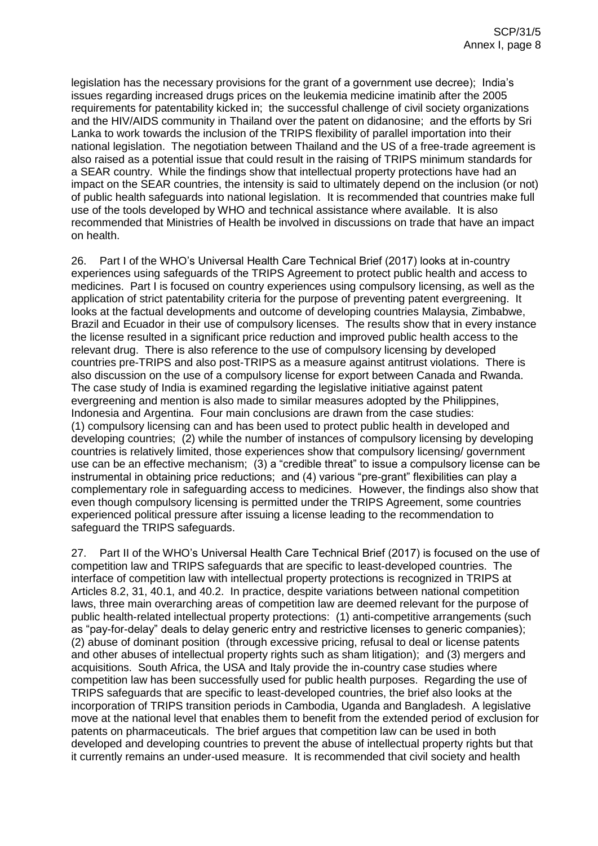legislation has the necessary provisions for the grant of a government use decree); India's issues regarding increased drugs prices on the leukemia medicine imatinib after the 2005 requirements for patentability kicked in; the successful challenge of civil society organizations and the HIV/AIDS community in Thailand over the patent on didanosine; and the efforts by Sri Lanka to work towards the inclusion of the TRIPS flexibility of parallel importation into their national legislation. The negotiation between Thailand and the US of a free-trade agreement is also raised as a potential issue that could result in the raising of TRIPS minimum standards for a SEAR country. While the findings show that intellectual property protections have had an impact on the SEAR countries, the intensity is said to ultimately depend on the inclusion (or not) of public health safeguards into national legislation. It is recommended that countries make full use of the tools developed by WHO and technical assistance where available. It is also recommended that Ministries of Health be involved in discussions on trade that have an impact on health.

26. Part I of the WHO's Universal Health Care Technical Brief (2017) looks at in-country experiences using safeguards of the TRIPS Agreement to protect public health and access to medicines. Part I is focused on country experiences using compulsory licensing, as well as the application of strict patentability criteria for the purpose of preventing patent evergreening. It looks at the factual developments and outcome of developing countries Malaysia, Zimbabwe, Brazil and Ecuador in their use of compulsory licenses. The results show that in every instance the license resulted in a significant price reduction and improved public health access to the relevant drug. There is also reference to the use of compulsory licensing by developed countries pre-TRIPS and also post-TRIPS as a measure against antitrust violations. There is also discussion on the use of a compulsory license for export between Canada and Rwanda. The case study of India is examined regarding the legislative initiative against patent evergreening and mention is also made to similar measures adopted by the Philippines, Indonesia and Argentina. Four main conclusions are drawn from the case studies: (1) compulsory licensing can and has been used to protect public health in developed and developing countries; (2) while the number of instances of compulsory licensing by developing countries is relatively limited, those experiences show that compulsory licensing/ government use can be an effective mechanism; (3) a "credible threat" to issue a compulsory license can be instrumental in obtaining price reductions; and (4) various "pre-grant" flexibilities can play a complementary role in safeguarding access to medicines. However, the findings also show that even though compulsory licensing is permitted under the TRIPS Agreement, some countries experienced political pressure after issuing a license leading to the recommendation to safeguard the TRIPS safeguards.

27. Part II of the WHO's Universal Health Care Technical Brief (2017) is focused on the use of competition law and TRIPS safeguards that are specific to least-developed countries. The interface of competition law with intellectual property protections is recognized in TRIPS at Articles 8.2, 31, 40.1, and 40.2. In practice, despite variations between national competition laws, three main overarching areas of competition law are deemed relevant for the purpose of public health-related intellectual property protections: (1) anti-competitive arrangements (such as "pay-for-delay" deals to delay generic entry and restrictive licenses to generic companies); (2) abuse of dominant position (through excessive pricing, refusal to deal or license patents and other abuses of intellectual property rights such as sham litigation); and (3) mergers and acquisitions. South Africa, the USA and Italy provide the in-country case studies where competition law has been successfully used for public health purposes. Regarding the use of TRIPS safeguards that are specific to least-developed countries, the brief also looks at the incorporation of TRIPS transition periods in Cambodia, Uganda and Bangladesh. A legislative move at the national level that enables them to benefit from the extended period of exclusion for patents on pharmaceuticals. The brief argues that competition law can be used in both developed and developing countries to prevent the abuse of intellectual property rights but that it currently remains an under-used measure. It is recommended that civil society and health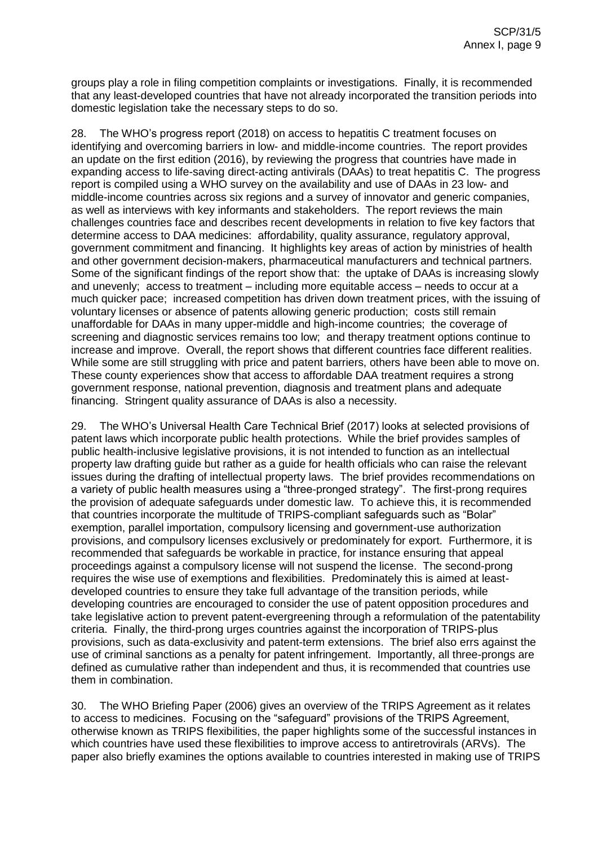groups play a role in filing competition complaints or investigations. Finally, it is recommended that any least-developed countries that have not already incorporated the transition periods into domestic legislation take the necessary steps to do so.

28. The WHO's progress report (2018) on access to hepatitis C treatment focuses on identifying and overcoming barriers in low- and middle-income countries. The report provides an update on the first edition (2016), by reviewing the progress that countries have made in expanding access to life-saving direct-acting antivirals (DAAs) to treat hepatitis C. The progress report is compiled using a WHO survey on the availability and use of DAAs in 23 low- and middle-income countries across six regions and a survey of innovator and generic companies, as well as interviews with key informants and stakeholders. The report reviews the main challenges countries face and describes recent developments in relation to five key factors that determine access to DAA medicines: affordability, quality assurance, regulatory approval, government commitment and financing. It highlights key areas of action by ministries of health and other government decision-makers, pharmaceutical manufacturers and technical partners. Some of the significant findings of the report show that: the uptake of DAAs is increasing slowly and unevenly; access to treatment – including more equitable access – needs to occur at a much quicker pace; increased competition has driven down treatment prices, with the issuing of voluntary licenses or absence of patents allowing generic production; costs still remain unaffordable for DAAs in many upper-middle and high-income countries; the coverage of screening and diagnostic services remains too low; and therapy treatment options continue to increase and improve. Overall, the report shows that different countries face different realities. While some are still struggling with price and patent barriers, others have been able to move on. These county experiences show that access to affordable DAA treatment requires a strong government response, national prevention, diagnosis and treatment plans and adequate financing. Stringent quality assurance of DAAs is also a necessity.

29. The WHO's Universal Health Care Technical Brief (2017) looks at selected provisions of patent laws which incorporate public health protections. While the brief provides samples of public health-inclusive legislative provisions, it is not intended to function as an intellectual property law drafting guide but rather as a guide for health officials who can raise the relevant issues during the drafting of intellectual property laws. The brief provides recommendations on a variety of public health measures using a "three-pronged strategy". The first-prong requires the provision of adequate safeguards under domestic law. To achieve this, it is recommended that countries incorporate the multitude of TRIPS-compliant safeguards such as "Bolar" exemption, parallel importation, compulsory licensing and government-use authorization provisions, and compulsory licenses exclusively or predominately for export. Furthermore, it is recommended that safeguards be workable in practice, for instance ensuring that appeal proceedings against a compulsory license will not suspend the license. The second-prong requires the wise use of exemptions and flexibilities. Predominately this is aimed at leastdeveloped countries to ensure they take full advantage of the transition periods, while developing countries are encouraged to consider the use of patent opposition procedures and take legislative action to prevent patent-evergreening through a reformulation of the patentability criteria. Finally, the third-prong urges countries against the incorporation of TRIPS-plus provisions, such as data-exclusivity and patent-term extensions. The brief also errs against the use of criminal sanctions as a penalty for patent infringement. Importantly, all three-prongs are defined as cumulative rather than independent and thus, it is recommended that countries use them in combination.

30. The WHO Briefing Paper (2006) gives an overview of the TRIPS Agreement as it relates to access to medicines. Focusing on the "safeguard" provisions of the TRIPS Agreement, otherwise known as TRIPS flexibilities, the paper highlights some of the successful instances in which countries have used these flexibilities to improve access to antiretrovirals (ARVs). The paper also briefly examines the options available to countries interested in making use of TRIPS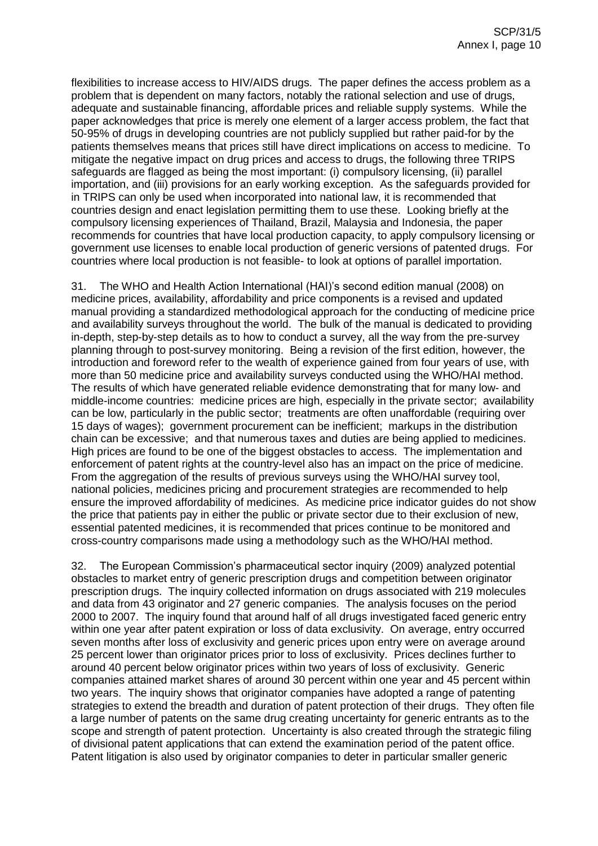flexibilities to increase access to HIV/AIDS drugs. The paper defines the access problem as a problem that is dependent on many factors, notably the rational selection and use of drugs, adequate and sustainable financing, affordable prices and reliable supply systems. While the paper acknowledges that price is merely one element of a larger access problem, the fact that 50-95% of drugs in developing countries are not publicly supplied but rather paid-for by the patients themselves means that prices still have direct implications on access to medicine. To mitigate the negative impact on drug prices and access to drugs, the following three TRIPS safeguards are flagged as being the most important: (i) compulsory licensing, (ii) parallel importation, and (iii) provisions for an early working exception. As the safeguards provided for in TRIPS can only be used when incorporated into national law, it is recommended that countries design and enact legislation permitting them to use these. Looking briefly at the compulsory licensing experiences of Thailand, Brazil, Malaysia and Indonesia, the paper recommends for countries that have local production capacity, to apply compulsory licensing or government use licenses to enable local production of generic versions of patented drugs. For countries where local production is not feasible- to look at options of parallel importation.

31. The WHO and Health Action International (HAI)'s second edition manual (2008) on medicine prices, availability, affordability and price components is a revised and updated manual providing a standardized methodological approach for the conducting of medicine price and availability surveys throughout the world. The bulk of the manual is dedicated to providing in-depth, step-by-step details as to how to conduct a survey, all the way from the pre-survey planning through to post-survey monitoring. Being a revision of the first edition, however, the introduction and foreword refer to the wealth of experience gained from four years of use, with more than 50 medicine price and availability surveys conducted using the WHO/HAI method. The results of which have generated reliable evidence demonstrating that for many low- and middle-income countries: medicine prices are high, especially in the private sector; availability can be low, particularly in the public sector; treatments are often unaffordable (requiring over 15 days of wages); government procurement can be inefficient; markups in the distribution chain can be excessive; and that numerous taxes and duties are being applied to medicines. High prices are found to be one of the biggest obstacles to access. The implementation and enforcement of patent rights at the country-level also has an impact on the price of medicine. From the aggregation of the results of previous surveys using the WHO/HAI survey tool, national policies, medicines pricing and procurement strategies are recommended to help ensure the improved affordability of medicines. As medicine price indicator guides do not show the price that patients pay in either the public or private sector due to their exclusion of new, essential patented medicines, it is recommended that prices continue to be monitored and cross-country comparisons made using a methodology such as the WHO/HAI method.

32. The European Commission's pharmaceutical sector inquiry (2009) analyzed potential obstacles to market entry of generic prescription drugs and competition between originator prescription drugs. The inquiry collected information on drugs associated with 219 molecules and data from 43 originator and 27 generic companies. The analysis focuses on the period 2000 to 2007. The inquiry found that around half of all drugs investigated faced generic entry within one year after patent expiration or loss of data exclusivity. On average, entry occurred seven months after loss of exclusivity and generic prices upon entry were on average around 25 percent lower than originator prices prior to loss of exclusivity. Prices declines further to around 40 percent below originator prices within two years of loss of exclusivity. Generic companies attained market shares of around 30 percent within one year and 45 percent within two years. The inquiry shows that originator companies have adopted a range of patenting strategies to extend the breadth and duration of patent protection of their drugs. They often file a large number of patents on the same drug creating uncertainty for generic entrants as to the scope and strength of patent protection. Uncertainty is also created through the strategic filing of divisional patent applications that can extend the examination period of the patent office. Patent litigation is also used by originator companies to deter in particular smaller generic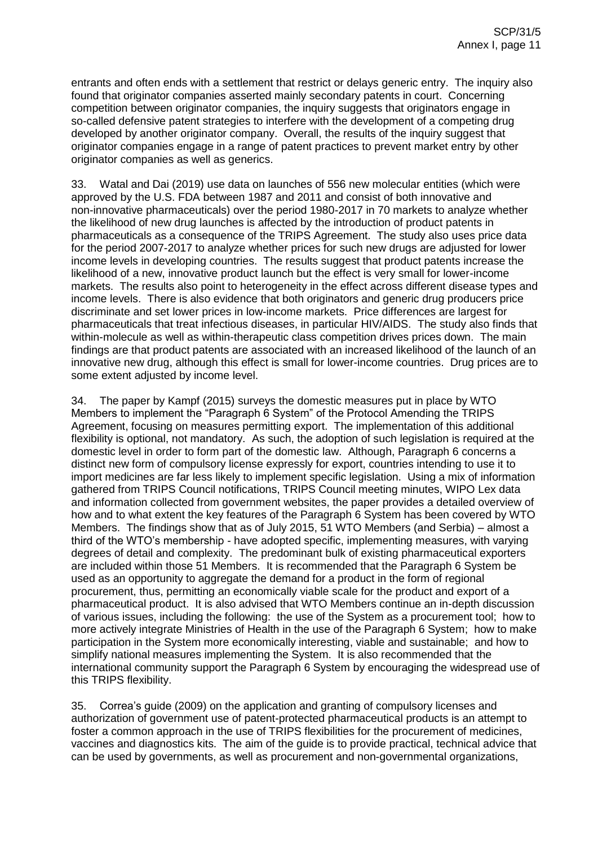entrants and often ends with a settlement that restrict or delays generic entry. The inquiry also found that originator companies asserted mainly secondary patents in court. Concerning competition between originator companies, the inquiry suggests that originators engage in so-called defensive patent strategies to interfere with the development of a competing drug developed by another originator company. Overall, the results of the inquiry suggest that originator companies engage in a range of patent practices to prevent market entry by other originator companies as well as generics.

33. Watal and Dai (2019) use data on launches of 556 new molecular entities (which were approved by the U.S. FDA between 1987 and 2011 and consist of both innovative and non-innovative pharmaceuticals) over the period 1980-2017 in 70 markets to analyze whether the likelihood of new drug launches is affected by the introduction of product patents in pharmaceuticals as a consequence of the TRIPS Agreement. The study also uses price data for the period 2007-2017 to analyze whether prices for such new drugs are adjusted for lower income levels in developing countries. The results suggest that product patents increase the likelihood of a new, innovative product launch but the effect is very small for lower-income markets. The results also point to heterogeneity in the effect across different disease types and income levels. There is also evidence that both originators and generic drug producers price discriminate and set lower prices in low-income markets. Price differences are largest for pharmaceuticals that treat infectious diseases, in particular HIV/AIDS. The study also finds that within-molecule as well as within-therapeutic class competition drives prices down. The main findings are that product patents are associated with an increased likelihood of the launch of an innovative new drug, although this effect is small for lower-income countries. Drug prices are to some extent adjusted by income level.

34. The paper by Kampf (2015) surveys the domestic measures put in place by WTO Members to implement the "Paragraph 6 System" of the Protocol Amending the TRIPS Agreement, focusing on measures permitting export. The implementation of this additional flexibility is optional, not mandatory. As such, the adoption of such legislation is required at the domestic level in order to form part of the domestic law. Although, Paragraph 6 concerns a distinct new form of compulsory license expressly for export, countries intending to use it to import medicines are far less likely to implement specific legislation. Using a mix of information gathered from TRIPS Council notifications, TRIPS Council meeting minutes, WIPO Lex data and information collected from government websites, the paper provides a detailed overview of how and to what extent the key features of the Paragraph 6 System has been covered by WTO Members. The findings show that as of July 2015, 51 WTO Members (and Serbia) – almost a third of the WTO's membership - have adopted specific, implementing measures, with varying degrees of detail and complexity. The predominant bulk of existing pharmaceutical exporters are included within those 51 Members. It is recommended that the Paragraph 6 System be used as an opportunity to aggregate the demand for a product in the form of regional procurement, thus, permitting an economically viable scale for the product and export of a pharmaceutical product. It is also advised that WTO Members continue an in-depth discussion of various issues, including the following: the use of the System as a procurement tool; how to more actively integrate Ministries of Health in the use of the Paragraph 6 System; how to make participation in the System more economically interesting, viable and sustainable; and how to simplify national measures implementing the System. It is also recommended that the international community support the Paragraph 6 System by encouraging the widespread use of this TRIPS flexibility.

35. Correa's guide (2009) on the application and granting of compulsory licenses and authorization of government use of patent-protected pharmaceutical products is an attempt to foster a common approach in the use of TRIPS flexibilities for the procurement of medicines, vaccines and diagnostics kits. The aim of the guide is to provide practical, technical advice that can be used by governments, as well as procurement and non-governmental organizations,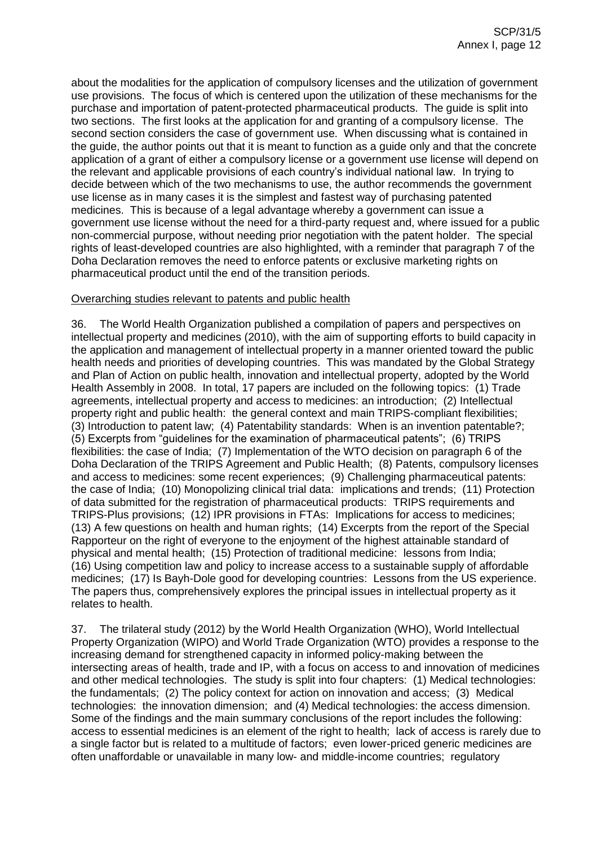about the modalities for the application of compulsory licenses and the utilization of government use provisions. The focus of which is centered upon the utilization of these mechanisms for the purchase and importation of patent-protected pharmaceutical products. The guide is split into two sections. The first looks at the application for and granting of a compulsory license. The second section considers the case of government use. When discussing what is contained in the guide, the author points out that it is meant to function as a guide only and that the concrete application of a grant of either a compulsory license or a government use license will depend on the relevant and applicable provisions of each country's individual national law. In trying to decide between which of the two mechanisms to use, the author recommends the government use license as in many cases it is the simplest and fastest way of purchasing patented medicines. This is because of a legal advantage whereby a government can issue a government use license without the need for a third-party request and, where issued for a public non-commercial purpose, without needing prior negotiation with the patent holder. The special rights of least-developed countries are also highlighted, with a reminder that paragraph 7 of the Doha Declaration removes the need to enforce patents or exclusive marketing rights on pharmaceutical product until the end of the transition periods.

## Overarching studies relevant to patents and public health

36. The World Health Organization published a compilation of papers and perspectives on intellectual property and medicines (2010), with the aim of supporting efforts to build capacity in the application and management of intellectual property in a manner oriented toward the public health needs and priorities of developing countries. This was mandated by the Global Strategy and Plan of Action on public health, innovation and intellectual property, adopted by the World Health Assembly in 2008. In total, 17 papers are included on the following topics: (1) Trade agreements, intellectual property and access to medicines: an introduction; (2) Intellectual property right and public health: the general context and main TRIPS-compliant flexibilities; (3) Introduction to patent law; (4) Patentability standards: When is an invention patentable?; (5) Excerpts from "guidelines for the examination of pharmaceutical patents"; (6) TRIPS flexibilities: the case of India; (7) Implementation of the WTO decision on paragraph 6 of the Doha Declaration of the TRIPS Agreement and Public Health; (8) Patents, compulsory licenses and access to medicines: some recent experiences; (9) Challenging pharmaceutical patents: the case of India; (10) Monopolizing clinical trial data: implications and trends; (11) Protection of data submitted for the registration of pharmaceutical products: TRIPS requirements and TRIPS-Plus provisions; (12) IPR provisions in FTAs: Implications for access to medicines; (13) A few questions on health and human rights; (14) Excerpts from the report of the Special Rapporteur on the right of everyone to the enjoyment of the highest attainable standard of physical and mental health; (15) Protection of traditional medicine: lessons from India; (16) Using competition law and policy to increase access to a sustainable supply of affordable medicines; (17) Is Bayh-Dole good for developing countries: Lessons from the US experience. The papers thus, comprehensively explores the principal issues in intellectual property as it relates to health.

37. The trilateral study (2012) by the World Health Organization (WHO), World Intellectual Property Organization (WIPO) and World Trade Organization (WTO) provides a response to the increasing demand for strengthened capacity in informed policy-making between the intersecting areas of health, trade and IP, with a focus on access to and innovation of medicines and other medical technologies. The study is split into four chapters: (1) Medical technologies: the fundamentals; (2) The policy context for action on innovation and access; (3) Medical technologies: the innovation dimension; and (4) Medical technologies: the access dimension. Some of the findings and the main summary conclusions of the report includes the following: access to essential medicines is an element of the right to health; lack of access is rarely due to a single factor but is related to a multitude of factors; even lower-priced generic medicines are often unaffordable or unavailable in many low- and middle-income countries; regulatory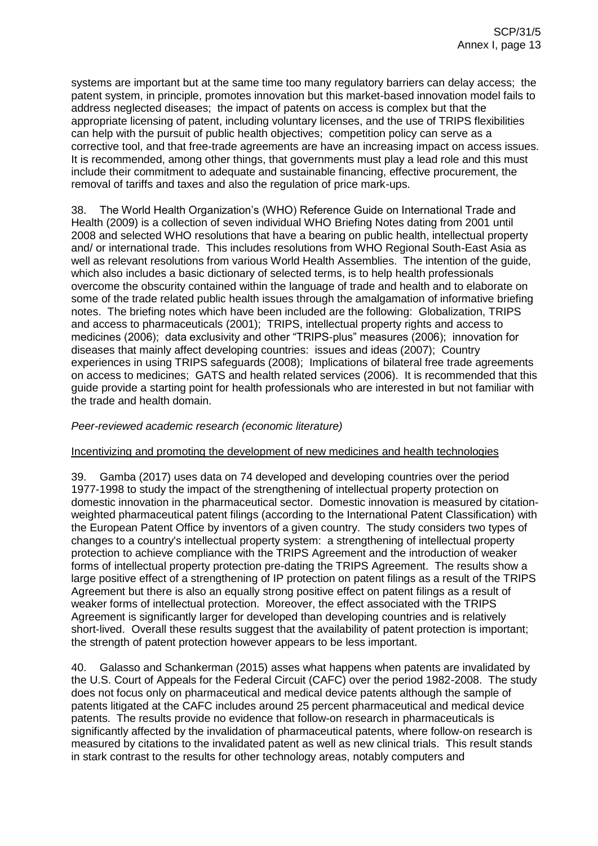systems are important but at the same time too many regulatory barriers can delay access; the patent system, in principle, promotes innovation but this market-based innovation model fails to address neglected diseases; the impact of patents on access is complex but that the appropriate licensing of patent, including voluntary licenses, and the use of TRIPS flexibilities can help with the pursuit of public health objectives; competition policy can serve as a corrective tool, and that free-trade agreements are have an increasing impact on access issues. It is recommended, among other things, that governments must play a lead role and this must include their commitment to adequate and sustainable financing, effective procurement, the removal of tariffs and taxes and also the regulation of price mark-ups.

38. The World Health Organization's (WHO) Reference Guide on International Trade and Health (2009) is a collection of seven individual WHO Briefing Notes dating from 2001 until 2008 and selected WHO resolutions that have a bearing on public health, intellectual property and/ or international trade. This includes resolutions from WHO Regional South-East Asia as well as relevant resolutions from various World Health Assemblies. The intention of the guide, which also includes a basic dictionary of selected terms, is to help health professionals overcome the obscurity contained within the language of trade and health and to elaborate on some of the trade related public health issues through the amalgamation of informative briefing notes. The briefing notes which have been included are the following: Globalization, TRIPS and access to pharmaceuticals (2001); TRIPS, intellectual property rights and access to medicines (2006); data exclusivity and other "TRIPS-plus" measures (2006); innovation for diseases that mainly affect developing countries: issues and ideas (2007); Country experiences in using TRIPS safeguards (2008); Implications of bilateral free trade agreements on access to medicines; GATS and health related services (2006). It is recommended that this guide provide a starting point for health professionals who are interested in but not familiar with the trade and health domain.

## *Peer-reviewed academic research (economic literature)*

#### Incentivizing and promoting the development of new medicines and health technologies

39. Gamba (2017) uses data on 74 developed and developing countries over the period 1977-1998 to study the impact of the strengthening of intellectual property protection on domestic innovation in the pharmaceutical sector. Domestic innovation is measured by citationweighted pharmaceutical patent filings (according to the International Patent Classification) with the European Patent Office by inventors of a given country. The study considers two types of changes to a country's intellectual property system: a strengthening of intellectual property protection to achieve compliance with the TRIPS Agreement and the introduction of weaker forms of intellectual property protection pre-dating the TRIPS Agreement. The results show a large positive effect of a strengthening of IP protection on patent filings as a result of the TRIPS Agreement but there is also an equally strong positive effect on patent filings as a result of weaker forms of intellectual protection. Moreover, the effect associated with the TRIPS Agreement is significantly larger for developed than developing countries and is relatively short-lived. Overall these results suggest that the availability of patent protection is important; the strength of patent protection however appears to be less important.

40. Galasso and Schankerman (2015) asses what happens when patents are invalidated by the U.S. Court of Appeals for the Federal Circuit (CAFC) over the period 1982-2008. The study does not focus only on pharmaceutical and medical device patents although the sample of patents litigated at the CAFC includes around 25 percent pharmaceutical and medical device patents. The results provide no evidence that follow-on research in pharmaceuticals is significantly affected by the invalidation of pharmaceutical patents, where follow-on research is measured by citations to the invalidated patent as well as new clinical trials. This result stands in stark contrast to the results for other technology areas, notably computers and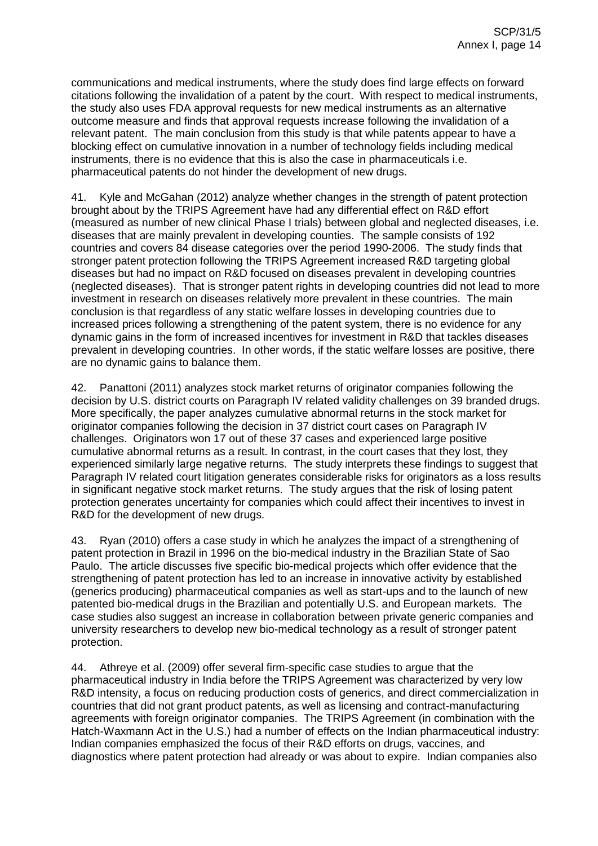communications and medical instruments, where the study does find large effects on forward citations following the invalidation of a patent by the court. With respect to medical instruments, the study also uses FDA approval requests for new medical instruments as an alternative outcome measure and finds that approval requests increase following the invalidation of a relevant patent. The main conclusion from this study is that while patents appear to have a blocking effect on cumulative innovation in a number of technology fields including medical instruments, there is no evidence that this is also the case in pharmaceuticals i.e. pharmaceutical patents do not hinder the development of new drugs.

41. Kyle and McGahan (2012) analyze whether changes in the strength of patent protection brought about by the TRIPS Agreement have had any differential effect on R&D effort (measured as number of new clinical Phase I trials) between global and neglected diseases, i.e. diseases that are mainly prevalent in developing counties. The sample consists of 192 countries and covers 84 disease categories over the period 1990-2006. The study finds that stronger patent protection following the TRIPS Agreement increased R&D targeting global diseases but had no impact on R&D focused on diseases prevalent in developing countries (neglected diseases). That is stronger patent rights in developing countries did not lead to more investment in research on diseases relatively more prevalent in these countries. The main conclusion is that regardless of any static welfare losses in developing countries due to increased prices following a strengthening of the patent system, there is no evidence for any dynamic gains in the form of increased incentives for investment in R&D that tackles diseases prevalent in developing countries. In other words, if the static welfare losses are positive, there are no dynamic gains to balance them.

42. Panattoni (2011) analyzes stock market returns of originator companies following the decision by U.S. district courts on Paragraph IV related validity challenges on 39 branded drugs. More specifically, the paper analyzes cumulative abnormal returns in the stock market for originator companies following the decision in 37 district court cases on Paragraph IV challenges. Originators won 17 out of these 37 cases and experienced large positive cumulative abnormal returns as a result. In contrast, in the court cases that they lost, they experienced similarly large negative returns. The study interprets these findings to suggest that Paragraph IV related court litigation generates considerable risks for originators as a loss results in significant negative stock market returns. The study argues that the risk of losing patent protection generates uncertainty for companies which could affect their incentives to invest in R&D for the development of new drugs.

43. Ryan (2010) offers a case study in which he analyzes the impact of a strengthening of patent protection in Brazil in 1996 on the bio-medical industry in the Brazilian State of Sao Paulo. The article discusses five specific bio-medical projects which offer evidence that the strengthening of patent protection has led to an increase in innovative activity by established (generics producing) pharmaceutical companies as well as start-ups and to the launch of new patented bio-medical drugs in the Brazilian and potentially U.S. and European markets. The case studies also suggest an increase in collaboration between private generic companies and university researchers to develop new bio-medical technology as a result of stronger patent protection.

44. Athreye et al. (2009) offer several firm-specific case studies to argue that the pharmaceutical industry in India before the TRIPS Agreement was characterized by very low R&D intensity, a focus on reducing production costs of generics, and direct commercialization in countries that did not grant product patents, as well as licensing and contract-manufacturing agreements with foreign originator companies. The TRIPS Agreement (in combination with the Hatch-Waxmann Act in the U.S.) had a number of effects on the Indian pharmaceutical industry: Indian companies emphasized the focus of their R&D efforts on drugs, vaccines, and diagnostics where patent protection had already or was about to expire. Indian companies also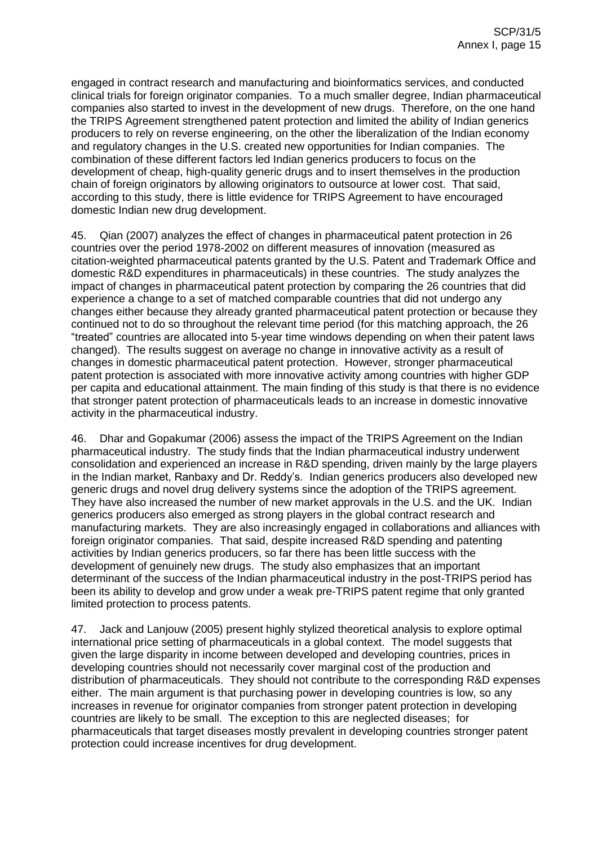engaged in contract research and manufacturing and bioinformatics services, and conducted clinical trials for foreign originator companies. To a much smaller degree, Indian pharmaceutical companies also started to invest in the development of new drugs. Therefore, on the one hand the TRIPS Agreement strengthened patent protection and limited the ability of Indian generics producers to rely on reverse engineering, on the other the liberalization of the Indian economy and regulatory changes in the U.S. created new opportunities for Indian companies. The combination of these different factors led Indian generics producers to focus on the development of cheap, high-quality generic drugs and to insert themselves in the production chain of foreign originators by allowing originators to outsource at lower cost. That said, according to this study, there is little evidence for TRIPS Agreement to have encouraged domestic Indian new drug development.

45. Qian (2007) analyzes the effect of changes in pharmaceutical patent protection in 26 countries over the period 1978-2002 on different measures of innovation (measured as citation-weighted pharmaceutical patents granted by the U.S. Patent and Trademark Office and domestic R&D expenditures in pharmaceuticals) in these countries. The study analyzes the impact of changes in pharmaceutical patent protection by comparing the 26 countries that did experience a change to a set of matched comparable countries that did not undergo any changes either because they already granted pharmaceutical patent protection or because they continued not to do so throughout the relevant time period (for this matching approach, the 26 "treated" countries are allocated into 5-year time windows depending on when their patent laws changed). The results suggest on average no change in innovative activity as a result of changes in domestic pharmaceutical patent protection. However, stronger pharmaceutical patent protection is associated with more innovative activity among countries with higher GDP per capita and educational attainment. The main finding of this study is that there is no evidence that stronger patent protection of pharmaceuticals leads to an increase in domestic innovative activity in the pharmaceutical industry.

46. Dhar and Gopakumar (2006) assess the impact of the TRIPS Agreement on the Indian pharmaceutical industry. The study finds that the Indian pharmaceutical industry underwent consolidation and experienced an increase in R&D spending, driven mainly by the large players in the Indian market, Ranbaxy and Dr. Reddy's. Indian generics producers also developed new generic drugs and novel drug delivery systems since the adoption of the TRIPS agreement. They have also increased the number of new market approvals in the U.S. and the UK. Indian generics producers also emerged as strong players in the global contract research and manufacturing markets. They are also increasingly engaged in collaborations and alliances with foreign originator companies. That said, despite increased R&D spending and patenting activities by Indian generics producers, so far there has been little success with the development of genuinely new drugs. The study also emphasizes that an important determinant of the success of the Indian pharmaceutical industry in the post-TRIPS period has been its ability to develop and grow under a weak pre-TRIPS patent regime that only granted limited protection to process patents.

47. Jack and Lanjouw (2005) present highly stylized theoretical analysis to explore optimal international price setting of pharmaceuticals in a global context. The model suggests that given the large disparity in income between developed and developing countries, prices in developing countries should not necessarily cover marginal cost of the production and distribution of pharmaceuticals. They should not contribute to the corresponding R&D expenses either. The main argument is that purchasing power in developing countries is low, so any increases in revenue for originator companies from stronger patent protection in developing countries are likely to be small. The exception to this are neglected diseases; for pharmaceuticals that target diseases mostly prevalent in developing countries stronger patent protection could increase incentives for drug development.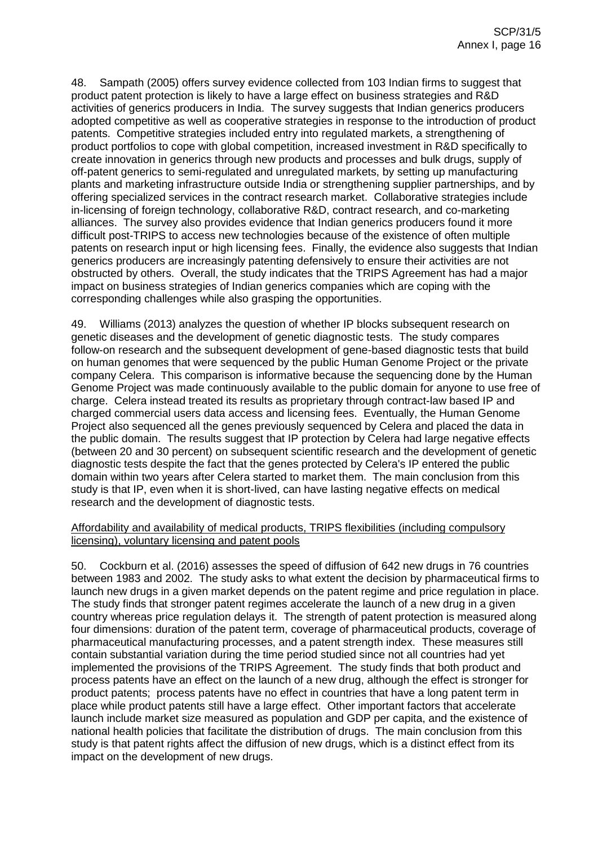48. Sampath (2005) offers survey evidence collected from 103 Indian firms to suggest that product patent protection is likely to have a large effect on business strategies and R&D activities of generics producers in India. The survey suggests that Indian generics producers adopted competitive as well as cooperative strategies in response to the introduction of product patents. Competitive strategies included entry into regulated markets, a strengthening of product portfolios to cope with global competition, increased investment in R&D specifically to create innovation in generics through new products and processes and bulk drugs, supply of off-patent generics to semi-regulated and unregulated markets, by setting up manufacturing plants and marketing infrastructure outside India or strengthening supplier partnerships, and by offering specialized services in the contract research market. Collaborative strategies include in-licensing of foreign technology, collaborative R&D, contract research, and co-marketing alliances. The survey also provides evidence that Indian generics producers found it more difficult post-TRIPS to access new technologies because of the existence of often multiple patents on research input or high licensing fees. Finally, the evidence also suggests that Indian generics producers are increasingly patenting defensively to ensure their activities are not obstructed by others. Overall, the study indicates that the TRIPS Agreement has had a major impact on business strategies of Indian generics companies which are coping with the corresponding challenges while also grasping the opportunities.

49. Williams (2013) analyzes the question of whether IP blocks subsequent research on genetic diseases and the development of genetic diagnostic tests. The study compares follow-on research and the subsequent development of gene-based diagnostic tests that build on human genomes that were sequenced by the public Human Genome Project or the private company Celera. This comparison is informative because the sequencing done by the Human Genome Project was made continuously available to the public domain for anyone to use free of charge. Celera instead treated its results as proprietary through contract-law based IP and charged commercial users data access and licensing fees. Eventually, the Human Genome Project also sequenced all the genes previously sequenced by Celera and placed the data in the public domain. The results suggest that IP protection by Celera had large negative effects (between 20 and 30 percent) on subsequent scientific research and the development of genetic diagnostic tests despite the fact that the genes protected by Celera's IP entered the public domain within two years after Celera started to market them. The main conclusion from this study is that IP, even when it is short-lived, can have lasting negative effects on medical research and the development of diagnostic tests.

## Affordability and availability of medical products, TRIPS flexibilities (including compulsory licensing), voluntary licensing and patent pools

50. Cockburn et al. (2016) assesses the speed of diffusion of 642 new drugs in 76 countries between 1983 and 2002. The study asks to what extent the decision by pharmaceutical firms to launch new drugs in a given market depends on the patent regime and price regulation in place. The study finds that stronger patent regimes accelerate the launch of a new drug in a given country whereas price regulation delays it. The strength of patent protection is measured along four dimensions: duration of the patent term, coverage of pharmaceutical products, coverage of pharmaceutical manufacturing processes, and a patent strength index. These measures still contain substantial variation during the time period studied since not all countries had yet implemented the provisions of the TRIPS Agreement. The study finds that both product and process patents have an effect on the launch of a new drug, although the effect is stronger for product patents; process patents have no effect in countries that have a long patent term in place while product patents still have a large effect. Other important factors that accelerate launch include market size measured as population and GDP per capita, and the existence of national health policies that facilitate the distribution of drugs. The main conclusion from this study is that patent rights affect the diffusion of new drugs, which is a distinct effect from its impact on the development of new drugs.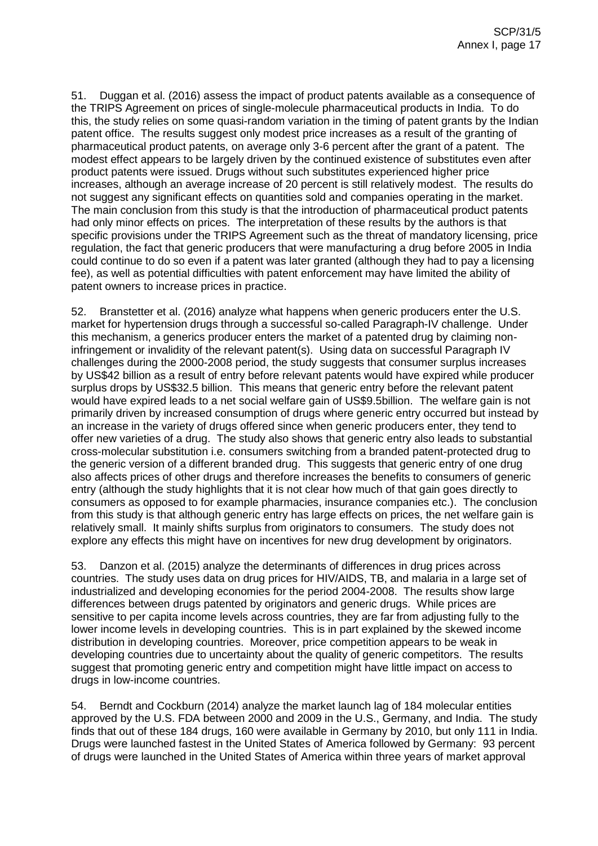51. Duggan et al. (2016) assess the impact of product patents available as a consequence of the TRIPS Agreement on prices of single-molecule pharmaceutical products in India. To do this, the study relies on some quasi-random variation in the timing of patent grants by the Indian patent office. The results suggest only modest price increases as a result of the granting of pharmaceutical product patents, on average only 3-6 percent after the grant of a patent. The modest effect appears to be largely driven by the continued existence of substitutes even after product patents were issued. Drugs without such substitutes experienced higher price increases, although an average increase of 20 percent is still relatively modest. The results do not suggest any significant effects on quantities sold and companies operating in the market. The main conclusion from this study is that the introduction of pharmaceutical product patents had only minor effects on prices. The interpretation of these results by the authors is that specific provisions under the TRIPS Agreement such as the threat of mandatory licensing, price regulation, the fact that generic producers that were manufacturing a drug before 2005 in India could continue to do so even if a patent was later granted (although they had to pay a licensing fee), as well as potential difficulties with patent enforcement may have limited the ability of patent owners to increase prices in practice.

52. Branstetter et al. (2016) analyze what happens when generic producers enter the U.S. market for hypertension drugs through a successful so-called Paragraph-IV challenge. Under this mechanism, a generics producer enters the market of a patented drug by claiming noninfringement or invalidity of the relevant patent(s). Using data on successful Paragraph IV challenges during the 2000-2008 period, the study suggests that consumer surplus increases by US\$42 billion as a result of entry before relevant patents would have expired while producer surplus drops by US\$32.5 billion. This means that generic entry before the relevant patent would have expired leads to a net social welfare gain of US\$9.5billion. The welfare gain is not primarily driven by increased consumption of drugs where generic entry occurred but instead by an increase in the variety of drugs offered since when generic producers enter, they tend to offer new varieties of a drug. The study also shows that generic entry also leads to substantial cross-molecular substitution i.e. consumers switching from a branded patent-protected drug to the generic version of a different branded drug. This suggests that generic entry of one drug also affects prices of other drugs and therefore increases the benefits to consumers of generic entry (although the study highlights that it is not clear how much of that gain goes directly to consumers as opposed to for example pharmacies, insurance companies etc.). The conclusion from this study is that although generic entry has large effects on prices, the net welfare gain is relatively small. It mainly shifts surplus from originators to consumers. The study does not explore any effects this might have on incentives for new drug development by originators.

53. Danzon et al. (2015) analyze the determinants of differences in drug prices across countries. The study uses data on drug prices for HIV/AIDS, TB, and malaria in a large set of industrialized and developing economies for the period 2004-2008. The results show large differences between drugs patented by originators and generic drugs. While prices are sensitive to per capita income levels across countries, they are far from adjusting fully to the lower income levels in developing countries. This is in part explained by the skewed income distribution in developing countries. Moreover, price competition appears to be weak in developing countries due to uncertainty about the quality of generic competitors. The results suggest that promoting generic entry and competition might have little impact on access to drugs in low-income countries.

54. Berndt and Cockburn (2014) analyze the market launch lag of 184 molecular entities approved by the U.S. FDA between 2000 and 2009 in the U.S., Germany, and India. The study finds that out of these 184 drugs, 160 were available in Germany by 2010, but only 111 in India. Drugs were launched fastest in the United States of America followed by Germany: 93 percent of drugs were launched in the United States of America within three years of market approval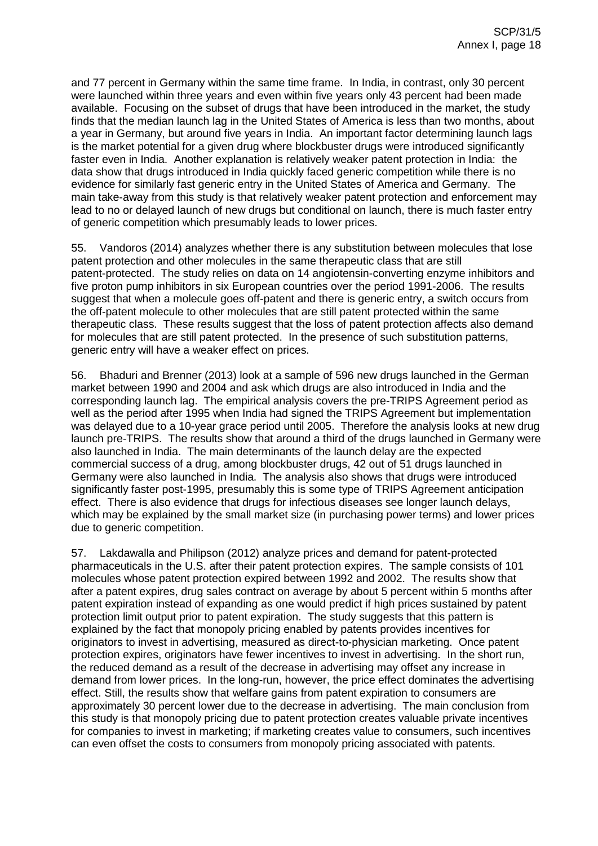and 77 percent in Germany within the same time frame. In India, in contrast, only 30 percent were launched within three years and even within five years only 43 percent had been made available. Focusing on the subset of drugs that have been introduced in the market, the study finds that the median launch lag in the United States of America is less than two months, about a year in Germany, but around five years in India. An important factor determining launch lags is the market potential for a given drug where blockbuster drugs were introduced significantly faster even in India. Another explanation is relatively weaker patent protection in India: the data show that drugs introduced in India quickly faced generic competition while there is no evidence for similarly fast generic entry in the United States of America and Germany. The main take-away from this study is that relatively weaker patent protection and enforcement may lead to no or delayed launch of new drugs but conditional on launch, there is much faster entry of generic competition which presumably leads to lower prices.

55. Vandoros (2014) analyzes whether there is any substitution between molecules that lose patent protection and other molecules in the same therapeutic class that are still patent-protected. The study relies on data on 14 angiotensin-converting enzyme inhibitors and five proton pump inhibitors in six European countries over the period 1991-2006. The results suggest that when a molecule goes off-patent and there is generic entry, a switch occurs from the off-patent molecule to other molecules that are still patent protected within the same therapeutic class. These results suggest that the loss of patent protection affects also demand for molecules that are still patent protected. In the presence of such substitution patterns, generic entry will have a weaker effect on prices.

56. Bhaduri and Brenner (2013) look at a sample of 596 new drugs launched in the German market between 1990 and 2004 and ask which drugs are also introduced in India and the corresponding launch lag. The empirical analysis covers the pre-TRIPS Agreement period as well as the period after 1995 when India had signed the TRIPS Agreement but implementation was delayed due to a 10-year grace period until 2005. Therefore the analysis looks at new drug launch pre-TRIPS. The results show that around a third of the drugs launched in Germany were also launched in India. The main determinants of the launch delay are the expected commercial success of a drug, among blockbuster drugs, 42 out of 51 drugs launched in Germany were also launched in India. The analysis also shows that drugs were introduced significantly faster post-1995, presumably this is some type of TRIPS Agreement anticipation effect. There is also evidence that drugs for infectious diseases see longer launch delays, which may be explained by the small market size (in purchasing power terms) and lower prices due to generic competition.

57. Lakdawalla and Philipson (2012) analyze prices and demand for patent-protected pharmaceuticals in the U.S. after their patent protection expires. The sample consists of 101 molecules whose patent protection expired between 1992 and 2002. The results show that after a patent expires, drug sales contract on average by about 5 percent within 5 months after patent expiration instead of expanding as one would predict if high prices sustained by patent protection limit output prior to patent expiration. The study suggests that this pattern is explained by the fact that monopoly pricing enabled by patents provides incentives for originators to invest in advertising, measured as direct-to-physician marketing. Once patent protection expires, originators have fewer incentives to invest in advertising. In the short run, the reduced demand as a result of the decrease in advertising may offset any increase in demand from lower prices. In the long-run, however, the price effect dominates the advertising effect. Still, the results show that welfare gains from patent expiration to consumers are approximately 30 percent lower due to the decrease in advertising. The main conclusion from this study is that monopoly pricing due to patent protection creates valuable private incentives for companies to invest in marketing; if marketing creates value to consumers, such incentives can even offset the costs to consumers from monopoly pricing associated with patents.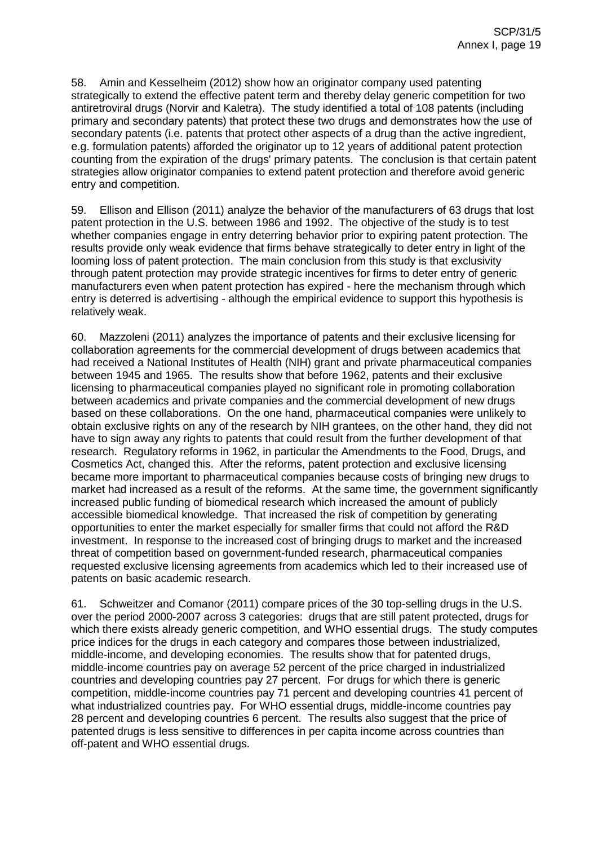58. Amin and Kesselheim (2012) show how an originator company used patenting strategically to extend the effective patent term and thereby delay generic competition for two antiretroviral drugs (Norvir and Kaletra). The study identified a total of 108 patents (including primary and secondary patents) that protect these two drugs and demonstrates how the use of secondary patents (i.e. patents that protect other aspects of a drug than the active ingredient, e.g. formulation patents) afforded the originator up to 12 years of additional patent protection counting from the expiration of the drugs' primary patents. The conclusion is that certain patent strategies allow originator companies to extend patent protection and therefore avoid generic entry and competition.

59. Ellison and Ellison (2011) analyze the behavior of the manufacturers of 63 drugs that lost patent protection in the U.S. between 1986 and 1992. The objective of the study is to test whether companies engage in entry deterring behavior prior to expiring patent protection. The results provide only weak evidence that firms behave strategically to deter entry in light of the looming loss of patent protection. The main conclusion from this study is that exclusivity through patent protection may provide strategic incentives for firms to deter entry of generic manufacturers even when patent protection has expired - here the mechanism through which entry is deterred is advertising - although the empirical evidence to support this hypothesis is relatively weak.

60. Mazzoleni (2011) analyzes the importance of patents and their exclusive licensing for collaboration agreements for the commercial development of drugs between academics that had received a National Institutes of Health (NIH) grant and private pharmaceutical companies between 1945 and 1965. The results show that before 1962, patents and their exclusive licensing to pharmaceutical companies played no significant role in promoting collaboration between academics and private companies and the commercial development of new drugs based on these collaborations. On the one hand, pharmaceutical companies were unlikely to obtain exclusive rights on any of the research by NIH grantees, on the other hand, they did not have to sign away any rights to patents that could result from the further development of that research. Regulatory reforms in 1962, in particular the Amendments to the Food, Drugs, and Cosmetics Act, changed this. After the reforms, patent protection and exclusive licensing became more important to pharmaceutical companies because costs of bringing new drugs to market had increased as a result of the reforms. At the same time, the government significantly increased public funding of biomedical research which increased the amount of publicly accessible biomedical knowledge. That increased the risk of competition by generating opportunities to enter the market especially for smaller firms that could not afford the R&D investment. In response to the increased cost of bringing drugs to market and the increased threat of competition based on government-funded research, pharmaceutical companies requested exclusive licensing agreements from academics which led to their increased use of patents on basic academic research.

61. Schweitzer and Comanor (2011) compare prices of the 30 top-selling drugs in the U.S. over the period 2000-2007 across 3 categories: drugs that are still patent protected, drugs for which there exists already generic competition, and WHO essential drugs. The study computes price indices for the drugs in each category and compares those between industrialized, middle-income, and developing economies. The results show that for patented drugs, middle-income countries pay on average 52 percent of the price charged in industrialized countries and developing countries pay 27 percent. For drugs for which there is generic competition, middle-income countries pay 71 percent and developing countries 41 percent of what industrialized countries pay. For WHO essential drugs, middle-income countries pay 28 percent and developing countries 6 percent. The results also suggest that the price of patented drugs is less sensitive to differences in per capita income across countries than off-patent and WHO essential drugs.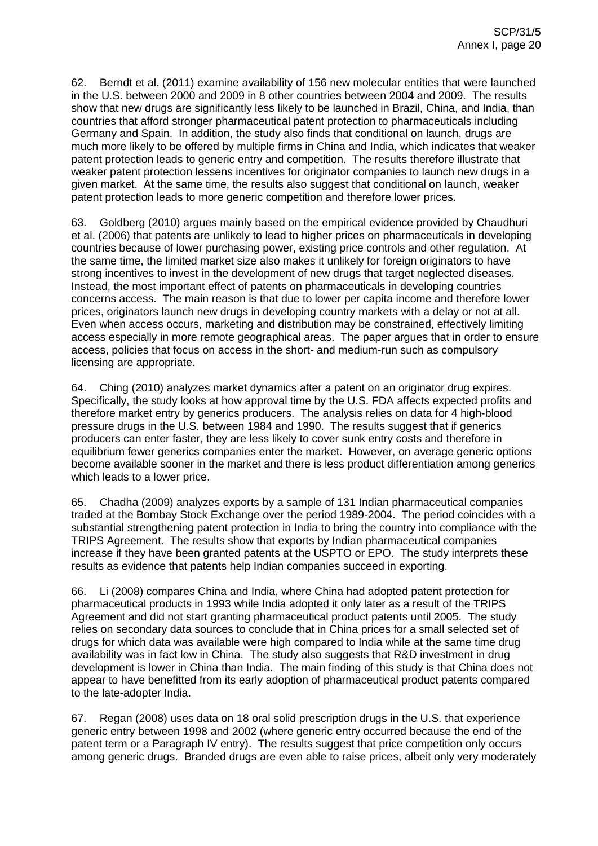62. Berndt et al. (2011) examine availability of 156 new molecular entities that were launched in the U.S. between 2000 and 2009 in 8 other countries between 2004 and 2009. The results show that new drugs are significantly less likely to be launched in Brazil, China, and India, than countries that afford stronger pharmaceutical patent protection to pharmaceuticals including Germany and Spain. In addition, the study also finds that conditional on launch, drugs are much more likely to be offered by multiple firms in China and India, which indicates that weaker patent protection leads to generic entry and competition. The results therefore illustrate that weaker patent protection lessens incentives for originator companies to launch new drugs in a given market. At the same time, the results also suggest that conditional on launch, weaker patent protection leads to more generic competition and therefore lower prices.

63. Goldberg (2010) argues mainly based on the empirical evidence provided by Chaudhuri et al. (2006) that patents are unlikely to lead to higher prices on pharmaceuticals in developing countries because of lower purchasing power, existing price controls and other regulation. At the same time, the limited market size also makes it unlikely for foreign originators to have strong incentives to invest in the development of new drugs that target neglected diseases. Instead, the most important effect of patents on pharmaceuticals in developing countries concerns access. The main reason is that due to lower per capita income and therefore lower prices, originators launch new drugs in developing country markets with a delay or not at all. Even when access occurs, marketing and distribution may be constrained, effectively limiting access especially in more remote geographical areas. The paper argues that in order to ensure access, policies that focus on access in the short- and medium-run such as compulsory licensing are appropriate.

64. Ching (2010) analyzes market dynamics after a patent on an originator drug expires. Specifically, the study looks at how approval time by the U.S. FDA affects expected profits and therefore market entry by generics producers. The analysis relies on data for 4 high-blood pressure drugs in the U.S. between 1984 and 1990. The results suggest that if generics producers can enter faster, they are less likely to cover sunk entry costs and therefore in equilibrium fewer generics companies enter the market. However, on average generic options become available sooner in the market and there is less product differentiation among generics which leads to a lower price.

65. Chadha (2009) analyzes exports by a sample of 131 Indian pharmaceutical companies traded at the Bombay Stock Exchange over the period 1989-2004. The period coincides with a substantial strengthening patent protection in India to bring the country into compliance with the TRIPS Agreement. The results show that exports by Indian pharmaceutical companies increase if they have been granted patents at the USPTO or EPO. The study interprets these results as evidence that patents help Indian companies succeed in exporting.

66. Li (2008) compares China and India, where China had adopted patent protection for pharmaceutical products in 1993 while India adopted it only later as a result of the TRIPS Agreement and did not start granting pharmaceutical product patents until 2005. The study relies on secondary data sources to conclude that in China prices for a small selected set of drugs for which data was available were high compared to India while at the same time drug availability was in fact low in China. The study also suggests that R&D investment in drug development is lower in China than India. The main finding of this study is that China does not appear to have benefitted from its early adoption of pharmaceutical product patents compared to the late-adopter India.

67. Regan (2008) uses data on 18 oral solid prescription drugs in the U.S. that experience generic entry between 1998 and 2002 (where generic entry occurred because the end of the patent term or a Paragraph IV entry). The results suggest that price competition only occurs among generic drugs. Branded drugs are even able to raise prices, albeit only very moderately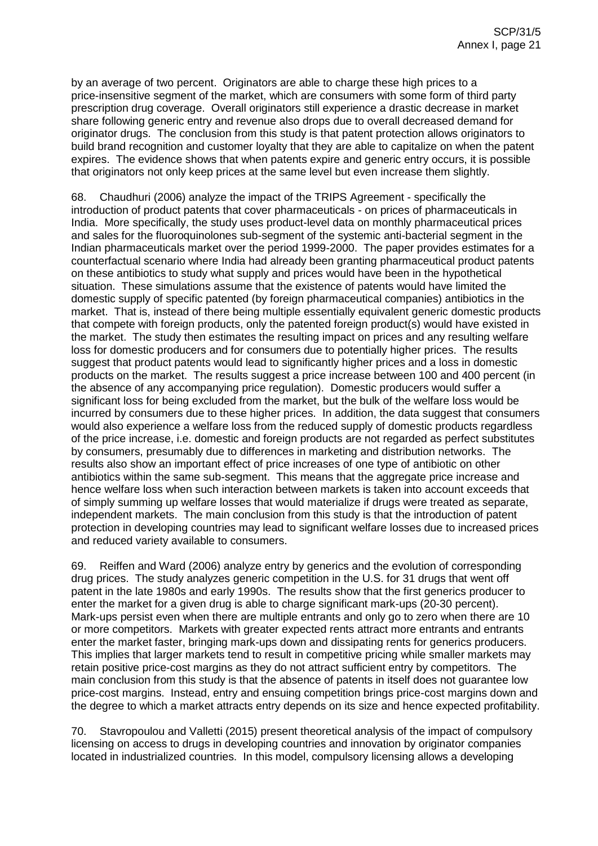by an average of two percent. Originators are able to charge these high prices to a price-insensitive segment of the market, which are consumers with some form of third party prescription drug coverage. Overall originators still experience a drastic decrease in market share following generic entry and revenue also drops due to overall decreased demand for originator drugs. The conclusion from this study is that patent protection allows originators to build brand recognition and customer loyalty that they are able to capitalize on when the patent expires. The evidence shows that when patents expire and generic entry occurs, it is possible that originators not only keep prices at the same level but even increase them slightly.

68. Chaudhuri (2006) analyze the impact of the TRIPS Agreement - specifically the introduction of product patents that cover pharmaceuticals - on prices of pharmaceuticals in India. More specifically, the study uses product-level data on monthly pharmaceutical prices and sales for the fluoroquinolones sub-segment of the systemic anti-bacterial segment in the Indian pharmaceuticals market over the period 1999-2000. The paper provides estimates for a counterfactual scenario where India had already been granting pharmaceutical product patents on these antibiotics to study what supply and prices would have been in the hypothetical situation. These simulations assume that the existence of patents would have limited the domestic supply of specific patented (by foreign pharmaceutical companies) antibiotics in the market. That is, instead of there being multiple essentially equivalent generic domestic products that compete with foreign products, only the patented foreign product(s) would have existed in the market. The study then estimates the resulting impact on prices and any resulting welfare loss for domestic producers and for consumers due to potentially higher prices. The results suggest that product patents would lead to significantly higher prices and a loss in domestic products on the market. The results suggest a price increase between 100 and 400 percent (in the absence of any accompanying price regulation). Domestic producers would suffer a significant loss for being excluded from the market, but the bulk of the welfare loss would be incurred by consumers due to these higher prices. In addition, the data suggest that consumers would also experience a welfare loss from the reduced supply of domestic products regardless of the price increase, i.e. domestic and foreign products are not regarded as perfect substitutes by consumers, presumably due to differences in marketing and distribution networks. The results also show an important effect of price increases of one type of antibiotic on other antibiotics within the same sub-segment. This means that the aggregate price increase and hence welfare loss when such interaction between markets is taken into account exceeds that of simply summing up welfare losses that would materialize if drugs were treated as separate, independent markets. The main conclusion from this study is that the introduction of patent protection in developing countries may lead to significant welfare losses due to increased prices and reduced variety available to consumers.

69. Reiffen and Ward (2006) analyze entry by generics and the evolution of corresponding drug prices. The study analyzes generic competition in the U.S. for 31 drugs that went off patent in the late 1980s and early 1990s. The results show that the first generics producer to enter the market for a given drug is able to charge significant mark-ups (20-30 percent). Mark-ups persist even when there are multiple entrants and only go to zero when there are 10 or more competitors. Markets with greater expected rents attract more entrants and entrants enter the market faster, bringing mark-ups down and dissipating rents for generics producers. This implies that larger markets tend to result in competitive pricing while smaller markets may retain positive price-cost margins as they do not attract sufficient entry by competitors. The main conclusion from this study is that the absence of patents in itself does not guarantee low price-cost margins. Instead, entry and ensuing competition brings price-cost margins down and the degree to which a market attracts entry depends on its size and hence expected profitability.

70. Stavropoulou and Valletti (2015) present theoretical analysis of the impact of compulsory licensing on access to drugs in developing countries and innovation by originator companies located in industrialized countries. In this model, compulsory licensing allows a developing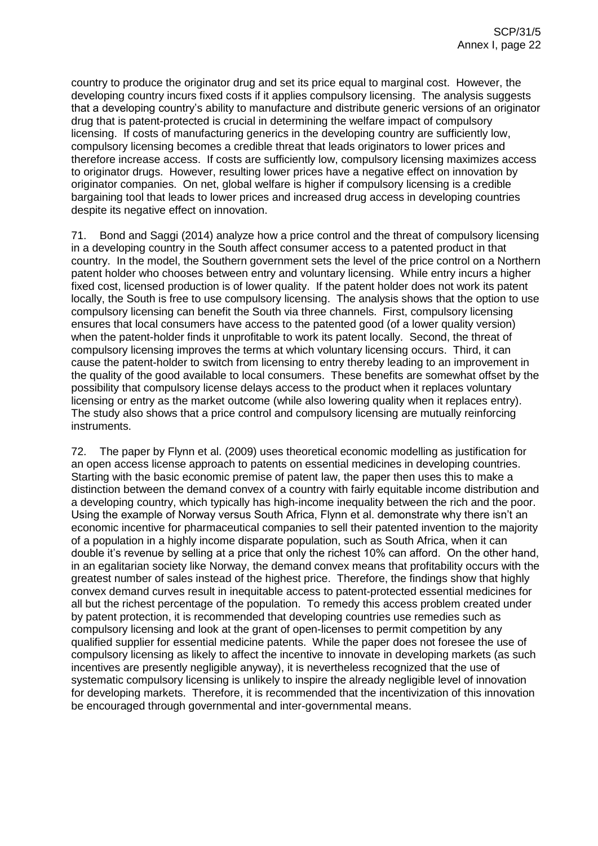country to produce the originator drug and set its price equal to marginal cost. However, the developing country incurs fixed costs if it applies compulsory licensing. The analysis suggests that a developing country's ability to manufacture and distribute generic versions of an originator drug that is patent-protected is crucial in determining the welfare impact of compulsory licensing. If costs of manufacturing generics in the developing country are sufficiently low, compulsory licensing becomes a credible threat that leads originators to lower prices and therefore increase access. If costs are sufficiently low, compulsory licensing maximizes access to originator drugs. However, resulting lower prices have a negative effect on innovation by originator companies. On net, global welfare is higher if compulsory licensing is a credible bargaining tool that leads to lower prices and increased drug access in developing countries despite its negative effect on innovation.

71. Bond and Saggi (2014) analyze how a price control and the threat of compulsory licensing in a developing country in the South affect consumer access to a patented product in that country. In the model, the Southern government sets the level of the price control on a Northern patent holder who chooses between entry and voluntary licensing. While entry incurs a higher fixed cost, licensed production is of lower quality. If the patent holder does not work its patent locally, the South is free to use compulsory licensing. The analysis shows that the option to use compulsory licensing can benefit the South via three channels. First, compulsory licensing ensures that local consumers have access to the patented good (of a lower quality version) when the patent-holder finds it unprofitable to work its patent locally. Second, the threat of compulsory licensing improves the terms at which voluntary licensing occurs. Third, it can cause the patent-holder to switch from licensing to entry thereby leading to an improvement in the quality of the good available to local consumers. These benefits are somewhat offset by the possibility that compulsory license delays access to the product when it replaces voluntary licensing or entry as the market outcome (while also lowering quality when it replaces entry). The study also shows that a price control and compulsory licensing are mutually reinforcing instruments.

72. The paper by Flynn et al. (2009) uses theoretical economic modelling as justification for an open access license approach to patents on essential medicines in developing countries. Starting with the basic economic premise of patent law, the paper then uses this to make a distinction between the demand convex of a country with fairly equitable income distribution and a developing country, which typically has high-income inequality between the rich and the poor. Using the example of Norway versus South Africa, Flynn et al. demonstrate why there isn't an economic incentive for pharmaceutical companies to sell their patented invention to the majority of a population in a highly income disparate population, such as South Africa, when it can double it's revenue by selling at a price that only the richest 10% can afford. On the other hand, in an egalitarian society like Norway, the demand convex means that profitability occurs with the greatest number of sales instead of the highest price. Therefore, the findings show that highly convex demand curves result in inequitable access to patent-protected essential medicines for all but the richest percentage of the population. To remedy this access problem created under by patent protection, it is recommended that developing countries use remedies such as compulsory licensing and look at the grant of open-licenses to permit competition by any qualified supplier for essential medicine patents. While the paper does not foresee the use of compulsory licensing as likely to affect the incentive to innovate in developing markets (as such incentives are presently negligible anyway), it is nevertheless recognized that the use of systematic compulsory licensing is unlikely to inspire the already negligible level of innovation for developing markets. Therefore, it is recommended that the incentivization of this innovation be encouraged through governmental and inter-governmental means.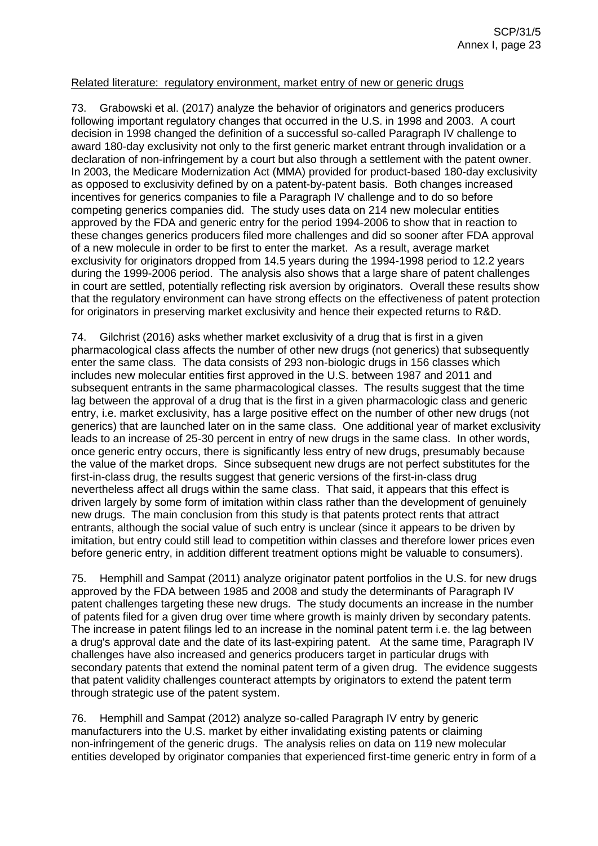#### Related literature: regulatory environment, market entry of new or generic drugs

73. Grabowski et al. (2017) analyze the behavior of originators and generics producers following important regulatory changes that occurred in the U.S. in 1998 and 2003. A court decision in 1998 changed the definition of a successful so-called Paragraph IV challenge to award 180-day exclusivity not only to the first generic market entrant through invalidation or a declaration of non-infringement by a court but also through a settlement with the patent owner. In 2003, the Medicare Modernization Act (MMA) provided for product-based 180-day exclusivity as opposed to exclusivity defined by on a patent-by-patent basis. Both changes increased incentives for generics companies to file a Paragraph IV challenge and to do so before competing generics companies did. The study uses data on 214 new molecular entities approved by the FDA and generic entry for the period 1994-2006 to show that in reaction to these changes generics producers filed more challenges and did so sooner after FDA approval of a new molecule in order to be first to enter the market. As a result, average market exclusivity for originators dropped from 14.5 years during the 1994-1998 period to 12.2 years during the 1999-2006 period. The analysis also shows that a large share of patent challenges in court are settled, potentially reflecting risk aversion by originators. Overall these results show that the regulatory environment can have strong effects on the effectiveness of patent protection for originators in preserving market exclusivity and hence their expected returns to R&D.

74. Gilchrist (2016) asks whether market exclusivity of a drug that is first in a given pharmacological class affects the number of other new drugs (not generics) that subsequently enter the same class. The data consists of 293 non-biologic drugs in 156 classes which includes new molecular entities first approved in the U.S. between 1987 and 2011 and subsequent entrants in the same pharmacological classes. The results suggest that the time lag between the approval of a drug that is the first in a given pharmacologic class and generic entry, i.e. market exclusivity, has a large positive effect on the number of other new drugs (not generics) that are launched later on in the same class. One additional year of market exclusivity leads to an increase of 25-30 percent in entry of new drugs in the same class. In other words, once generic entry occurs, there is significantly less entry of new drugs, presumably because the value of the market drops. Since subsequent new drugs are not perfect substitutes for the first-in-class drug, the results suggest that generic versions of the first-in-class drug nevertheless affect all drugs within the same class. That said, it appears that this effect is driven largely by some form of imitation within class rather than the development of genuinely new drugs. The main conclusion from this study is that patents protect rents that attract entrants, although the social value of such entry is unclear (since it appears to be driven by imitation, but entry could still lead to competition within classes and therefore lower prices even before generic entry, in addition different treatment options might be valuable to consumers).

75. Hemphill and Sampat (2011) analyze originator patent portfolios in the U.S. for new drugs approved by the FDA between 1985 and 2008 and study the determinants of Paragraph IV patent challenges targeting these new drugs. The study documents an increase in the number of patents filed for a given drug over time where growth is mainly driven by secondary patents. The increase in patent filings led to an increase in the nominal patent term i.e. the lag between a drug's approval date and the date of its last-expiring patent. At the same time, Paragraph IV challenges have also increased and generics producers target in particular drugs with secondary patents that extend the nominal patent term of a given drug. The evidence suggests that patent validity challenges counteract attempts by originators to extend the patent term through strategic use of the patent system.

76. Hemphill and Sampat (2012) analyze so-called Paragraph IV entry by generic manufacturers into the U.S. market by either invalidating existing patents or claiming non-infringement of the generic drugs. The analysis relies on data on 119 new molecular entities developed by originator companies that experienced first-time generic entry in form of a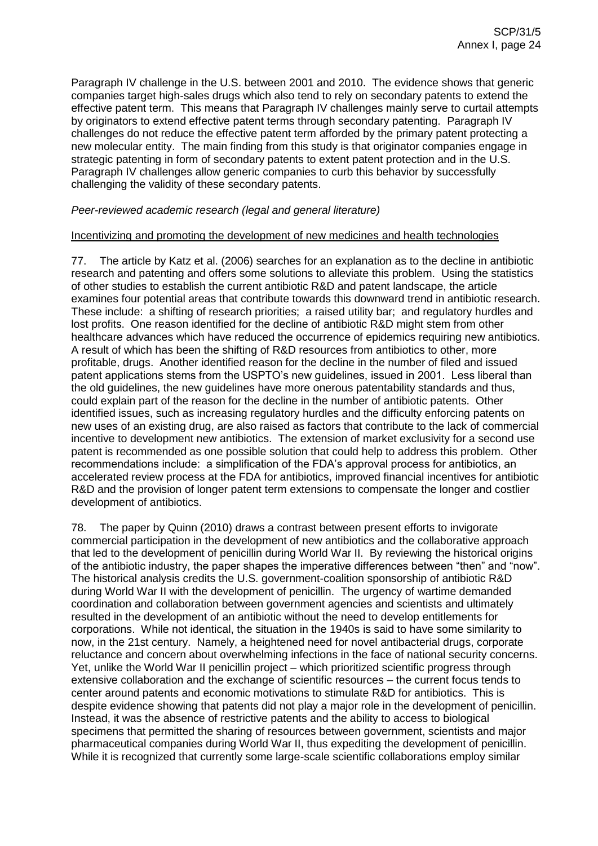Paragraph IV challenge in the U.S. between 2001 and 2010. The evidence shows that generic companies target high-sales drugs which also tend to rely on secondary patents to extend the effective patent term. This means that Paragraph IV challenges mainly serve to curtail attempts by originators to extend effective patent terms through secondary patenting. Paragraph IV challenges do not reduce the effective patent term afforded by the primary patent protecting a new molecular entity. The main finding from this study is that originator companies engage in strategic patenting in form of secondary patents to extent patent protection and in the U.S. Paragraph IV challenges allow generic companies to curb this behavior by successfully challenging the validity of these secondary patents.

## *Peer-reviewed academic research (legal and general literature)*

## Incentivizing and promoting the development of new medicines and health technologies

77. The article by Katz et al. (2006) searches for an explanation as to the decline in antibiotic research and patenting and offers some solutions to alleviate this problem. Using the statistics of other studies to establish the current antibiotic R&D and patent landscape, the article examines four potential areas that contribute towards this downward trend in antibiotic research. These include: a shifting of research priorities; a raised utility bar; and regulatory hurdles and lost profits. One reason identified for the decline of antibiotic R&D might stem from other healthcare advances which have reduced the occurrence of epidemics requiring new antibiotics. A result of which has been the shifting of R&D resources from antibiotics to other, more profitable, drugs. Another identified reason for the decline in the number of filed and issued patent applications stems from the USPTO's new guidelines, issued in 2001. Less liberal than the old guidelines, the new guidelines have more onerous patentability standards and thus, could explain part of the reason for the decline in the number of antibiotic patents. Other identified issues, such as increasing regulatory hurdles and the difficulty enforcing patents on new uses of an existing drug, are also raised as factors that contribute to the lack of commercial incentive to development new antibiotics. The extension of market exclusivity for a second use patent is recommended as one possible solution that could help to address this problem. Other recommendations include: a simplification of the FDA's approval process for antibiotics, an accelerated review process at the FDA for antibiotics, improved financial incentives for antibiotic R&D and the provision of longer patent term extensions to compensate the longer and costlier development of antibiotics.

78. The paper by Quinn (2010) draws a contrast between present efforts to invigorate commercial participation in the development of new antibiotics and the collaborative approach that led to the development of penicillin during World War II. By reviewing the historical origins of the antibiotic industry, the paper shapes the imperative differences between "then" and "now". The historical analysis credits the U.S. government-coalition sponsorship of antibiotic R&D during World War II with the development of penicillin. The urgency of wartime demanded coordination and collaboration between government agencies and scientists and ultimately resulted in the development of an antibiotic without the need to develop entitlements for corporations. While not identical, the situation in the 1940s is said to have some similarity to now, in the 21st century. Namely, a heightened need for novel antibacterial drugs, corporate reluctance and concern about overwhelming infections in the face of national security concerns. Yet, unlike the World War II penicillin project – which prioritized scientific progress through extensive collaboration and the exchange of scientific resources – the current focus tends to center around patents and economic motivations to stimulate R&D for antibiotics. This is despite evidence showing that patents did not play a major role in the development of penicillin. Instead, it was the absence of restrictive patents and the ability to access to biological specimens that permitted the sharing of resources between government, scientists and major pharmaceutical companies during World War II, thus expediting the development of penicillin. While it is recognized that currently some large-scale scientific collaborations employ similar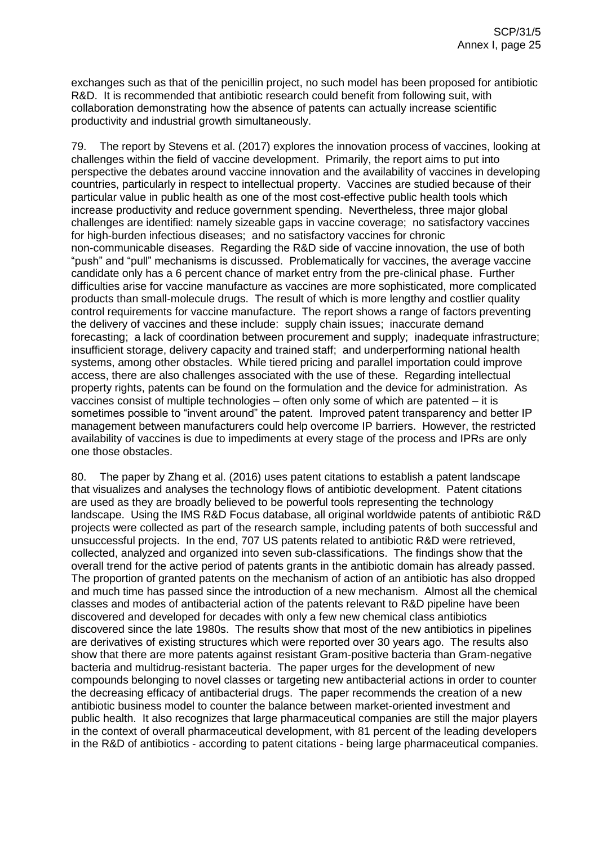exchanges such as that of the penicillin project, no such model has been proposed for antibiotic R&D. It is recommended that antibiotic research could benefit from following suit, with collaboration demonstrating how the absence of patents can actually increase scientific productivity and industrial growth simultaneously.

79. The report by Stevens et al. (2017) explores the innovation process of vaccines, looking at challenges within the field of vaccine development. Primarily, the report aims to put into perspective the debates around vaccine innovation and the availability of vaccines in developing countries, particularly in respect to intellectual property. Vaccines are studied because of their particular value in public health as one of the most cost-effective public health tools which increase productivity and reduce government spending. Nevertheless, three major global challenges are identified: namely sizeable gaps in vaccine coverage; no satisfactory vaccines for high-burden infectious diseases; and no satisfactory vaccines for chronic non-communicable diseases. Regarding the R&D side of vaccine innovation, the use of both "push" and "pull" mechanisms is discussed. Problematically for vaccines, the average vaccine candidate only has a 6 percent chance of market entry from the pre-clinical phase. Further difficulties arise for vaccine manufacture as vaccines are more sophisticated, more complicated products than small-molecule drugs. The result of which is more lengthy and costlier quality control requirements for vaccine manufacture. The report shows a range of factors preventing the delivery of vaccines and these include: supply chain issues; inaccurate demand forecasting; a lack of coordination between procurement and supply; inadequate infrastructure; insufficient storage, delivery capacity and trained staff; and underperforming national health systems, among other obstacles. While tiered pricing and parallel importation could improve access, there are also challenges associated with the use of these. Regarding intellectual property rights, patents can be found on the formulation and the device for administration. As vaccines consist of multiple technologies – often only some of which are patented – it is sometimes possible to "invent around" the patent. Improved patent transparency and better IP management between manufacturers could help overcome IP barriers. However, the restricted availability of vaccines is due to impediments at every stage of the process and IPRs are only one those obstacles.

80. The paper by Zhang et al. (2016) uses patent citations to establish a patent landscape that visualizes and analyses the technology flows of antibiotic development. Patent citations are used as they are broadly believed to be powerful tools representing the technology landscape. Using the IMS R&D Focus database, all original worldwide patents of antibiotic R&D projects were collected as part of the research sample, including patents of both successful and unsuccessful projects. In the end, 707 US patents related to antibiotic R&D were retrieved, collected, analyzed and organized into seven sub-classifications. The findings show that the overall trend for the active period of patents grants in the antibiotic domain has already passed. The proportion of granted patents on the mechanism of action of an antibiotic has also dropped and much time has passed since the introduction of a new mechanism. Almost all the chemical classes and modes of antibacterial action of the patents relevant to R&D pipeline have been discovered and developed for decades with only a few new chemical class antibiotics discovered since the late 1980s. The results show that most of the new antibiotics in pipelines are derivatives of existing structures which were reported over 30 years ago. The results also show that there are more patents against resistant Gram-positive bacteria than Gram-negative bacteria and multidrug-resistant bacteria. The paper urges for the development of new compounds belonging to novel classes or targeting new antibacterial actions in order to counter the decreasing efficacy of antibacterial drugs. The paper recommends the creation of a new antibiotic business model to counter the balance between market-oriented investment and public health. It also recognizes that large pharmaceutical companies are still the major players in the context of overall pharmaceutical development, with 81 percent of the leading developers in the R&D of antibiotics - according to patent citations - being large pharmaceutical companies.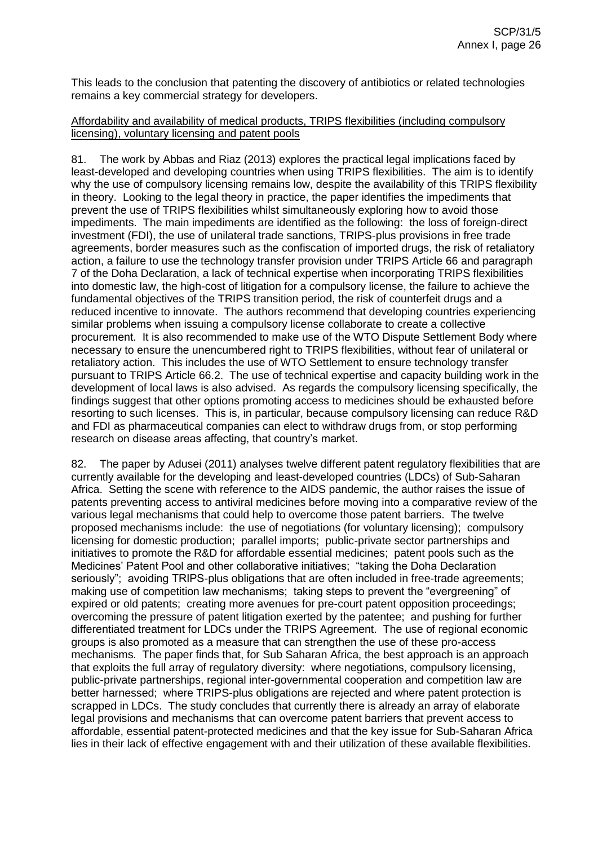This leads to the conclusion that patenting the discovery of antibiotics or related technologies remains a key commercial strategy for developers.

## Affordability and availability of medical products, TRIPS flexibilities (including compulsory licensing), voluntary licensing and patent pools

81. The work by Abbas and Riaz (2013) explores the practical legal implications faced by least-developed and developing countries when using TRIPS flexibilities. The aim is to identify why the use of compulsory licensing remains low, despite the availability of this TRIPS flexibility in theory. Looking to the legal theory in practice, the paper identifies the impediments that prevent the use of TRIPS flexibilities whilst simultaneously exploring how to avoid those impediments. The main impediments are identified as the following: the loss of foreign-direct investment (FDI), the use of unilateral trade sanctions, TRIPS-plus provisions in free trade agreements, border measures such as the confiscation of imported drugs, the risk of retaliatory action, a failure to use the technology transfer provision under TRIPS Article 66 and paragraph 7 of the Doha Declaration, a lack of technical expertise when incorporating TRIPS flexibilities into domestic law, the high-cost of litigation for a compulsory license, the failure to achieve the fundamental objectives of the TRIPS transition period, the risk of counterfeit drugs and a reduced incentive to innovate. The authors recommend that developing countries experiencing similar problems when issuing a compulsory license collaborate to create a collective procurement. It is also recommended to make use of the WTO Dispute Settlement Body where necessary to ensure the unencumbered right to TRIPS flexibilities, without fear of unilateral or retaliatory action. This includes the use of WTO Settlement to ensure technology transfer pursuant to TRIPS Article 66.2. The use of technical expertise and capacity building work in the development of local laws is also advised. As regards the compulsory licensing specifically, the findings suggest that other options promoting access to medicines should be exhausted before resorting to such licenses. This is, in particular, because compulsory licensing can reduce R&D and FDI as pharmaceutical companies can elect to withdraw drugs from, or stop performing research on disease areas affecting, that country's market.

82. The paper by Adusei (2011) analyses twelve different patent regulatory flexibilities that are currently available for the developing and least-developed countries (LDCs) of Sub-Saharan Africa. Setting the scene with reference to the AIDS pandemic, the author raises the issue of patents preventing access to antiviral medicines before moving into a comparative review of the various legal mechanisms that could help to overcome those patent barriers. The twelve proposed mechanisms include: the use of negotiations (for voluntary licensing); compulsory licensing for domestic production; parallel imports; public-private sector partnerships and initiatives to promote the R&D for affordable essential medicines; patent pools such as the Medicines' Patent Pool and other collaborative initiatives; "taking the Doha Declaration seriously"; avoiding TRIPS-plus obligations that are often included in free-trade agreements; making use of competition law mechanisms; taking steps to prevent the "evergreening" of expired or old patents; creating more avenues for pre-court patent opposition proceedings; overcoming the pressure of patent litigation exerted by the patentee; and pushing for further differentiated treatment for LDCs under the TRIPS Agreement. The use of regional economic groups is also promoted as a measure that can strengthen the use of these pro-access mechanisms. The paper finds that, for Sub Saharan Africa, the best approach is an approach that exploits the full array of regulatory diversity: where negotiations, compulsory licensing, public-private partnerships, regional inter-governmental cooperation and competition law are better harnessed; where TRIPS-plus obligations are rejected and where patent protection is scrapped in LDCs. The study concludes that currently there is already an array of elaborate legal provisions and mechanisms that can overcome patent barriers that prevent access to affordable, essential patent-protected medicines and that the key issue for Sub-Saharan Africa lies in their lack of effective engagement with and their utilization of these available flexibilities.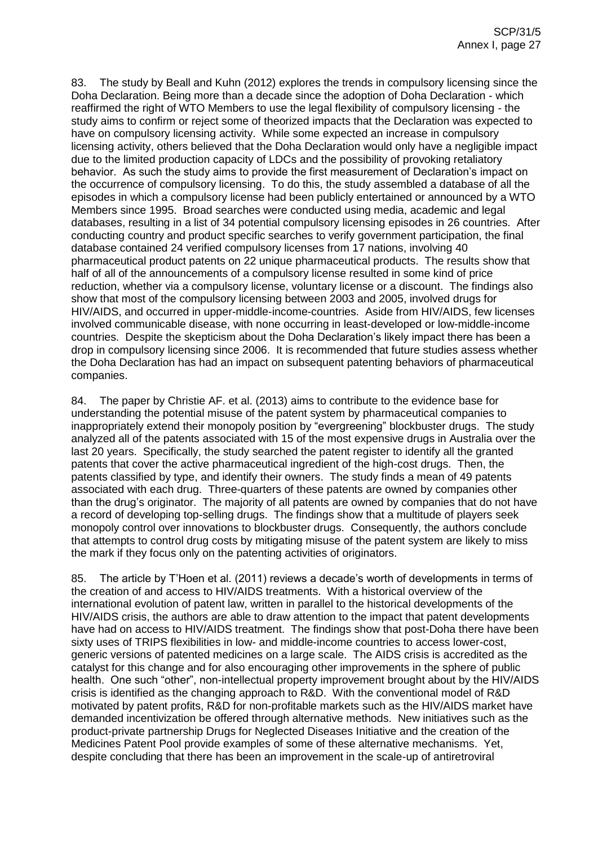83. The study by Beall and Kuhn (2012) explores the trends in compulsory licensing since the Doha Declaration. Being more than a decade since the adoption of Doha Declaration - which reaffirmed the right of WTO Members to use the legal flexibility of compulsory licensing - the study aims to confirm or reject some of theorized impacts that the Declaration was expected to have on compulsory licensing activity. While some expected an increase in compulsory licensing activity, others believed that the Doha Declaration would only have a negligible impact due to the limited production capacity of LDCs and the possibility of provoking retaliatory behavior. As such the study aims to provide the first measurement of Declaration's impact on the occurrence of compulsory licensing. To do this, the study assembled a database of all the episodes in which a compulsory license had been publicly entertained or announced by a WTO Members since 1995. Broad searches were conducted using media, academic and legal databases, resulting in a list of 34 potential compulsory licensing episodes in 26 countries. After conducting country and product specific searches to verify government participation, the final database contained 24 verified compulsory licenses from 17 nations, involving 40 pharmaceutical product patents on 22 unique pharmaceutical products. The results show that half of all of the announcements of a compulsory license resulted in some kind of price reduction, whether via a compulsory license, voluntary license or a discount. The findings also show that most of the compulsory licensing between 2003 and 2005, involved drugs for HIV/AIDS, and occurred in upper-middle-income-countries. Aside from HIV/AIDS, few licenses involved communicable disease, with none occurring in least-developed or low-middle-income countries. Despite the skepticism about the Doha Declaration's likely impact there has been a drop in compulsory licensing since 2006. It is recommended that future studies assess whether the Doha Declaration has had an impact on subsequent patenting behaviors of pharmaceutical companies.

84. The paper by Christie AF. et al. (2013) aims to contribute to the evidence base for understanding the potential misuse of the patent system by pharmaceutical companies to inappropriately extend their monopoly position by "evergreening" blockbuster drugs. The study analyzed all of the patents associated with 15 of the most expensive drugs in Australia over the last 20 years. Specifically, the study searched the patent register to identify all the granted patents that cover the active pharmaceutical ingredient of the high-cost drugs. Then, the patents classified by type, and identify their owners. The study finds a mean of 49 patents associated with each drug. Three-quarters of these patents are owned by companies other than the drug's originator. The majority of all patents are owned by companies that do not have a record of developing top-selling drugs. The findings show that a multitude of players seek monopoly control over innovations to blockbuster drugs. Consequently, the authors conclude that attempts to control drug costs by mitigating misuse of the patent system are likely to miss the mark if they focus only on the patenting activities of originators.

85. The article by T'Hoen et al. (2011) reviews a decade's worth of developments in terms of the creation of and access to HIV/AIDS treatments. With a historical overview of the international evolution of patent law, written in parallel to the historical developments of the HIV/AIDS crisis, the authors are able to draw attention to the impact that patent developments have had on access to HIV/AIDS treatment. The findings show that post-Doha there have been sixty uses of TRIPS flexibilities in low- and middle-income countries to access lower-cost, generic versions of patented medicines on a large scale. The AIDS crisis is accredited as the catalyst for this change and for also encouraging other improvements in the sphere of public health. One such "other", non-intellectual property improvement brought about by the HIV/AIDS crisis is identified as the changing approach to R&D. With the conventional model of R&D motivated by patent profits, R&D for non-profitable markets such as the HIV/AIDS market have demanded incentivization be offered through alternative methods. New initiatives such as the product-private partnership Drugs for Neglected Diseases Initiative and the creation of the Medicines Patent Pool provide examples of some of these alternative mechanisms. Yet, despite concluding that there has been an improvement in the scale-up of antiretroviral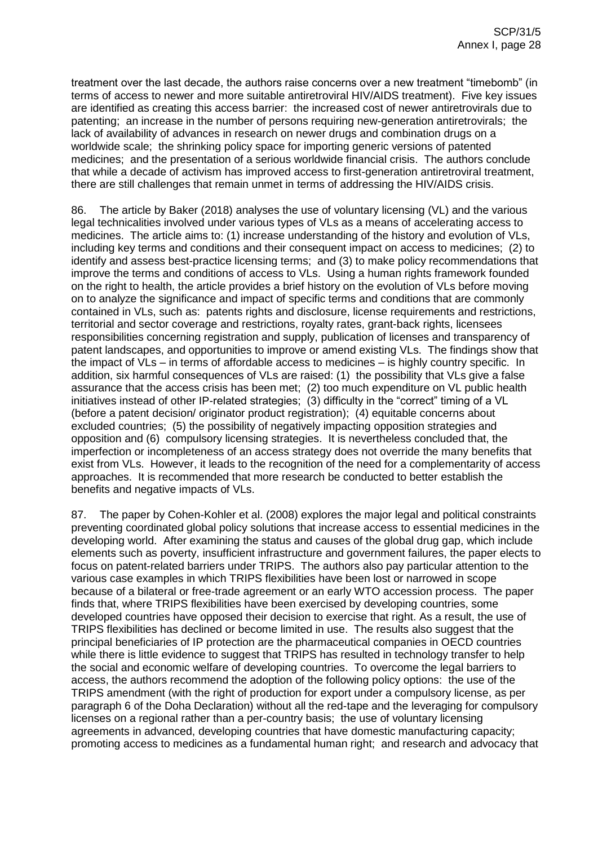treatment over the last decade, the authors raise concerns over a new treatment "timebomb" (in terms of access to newer and more suitable antiretroviral HIV/AIDS treatment). Five key issues are identified as creating this access barrier: the increased cost of newer antiretrovirals due to patenting; an increase in the number of persons requiring new-generation antiretrovirals; the lack of availability of advances in research on newer drugs and combination drugs on a worldwide scale; the shrinking policy space for importing generic versions of patented medicines; and the presentation of a serious worldwide financial crisis. The authors conclude that while a decade of activism has improved access to first-generation antiretroviral treatment, there are still challenges that remain unmet in terms of addressing the HIV/AIDS crisis.

86. The article by Baker (2018) analyses the use of voluntary licensing (VL) and the various legal technicalities involved under various types of VLs as a means of accelerating access to medicines. The article aims to: (1) increase understanding of the history and evolution of VLs, including key terms and conditions and their consequent impact on access to medicines; (2) to identify and assess best-practice licensing terms; and (3) to make policy recommendations that improve the terms and conditions of access to VLs. Using a human rights framework founded on the right to health, the article provides a brief history on the evolution of VLs before moving on to analyze the significance and impact of specific terms and conditions that are commonly contained in VLs, such as: patents rights and disclosure, license requirements and restrictions, territorial and sector coverage and restrictions, royalty rates, grant-back rights, licensees responsibilities concerning registration and supply, publication of licenses and transparency of patent landscapes, and opportunities to improve or amend existing VLs. The findings show that the impact of VLs – in terms of affordable access to medicines – is highly country specific. In addition, six harmful consequences of VLs are raised: (1) the possibility that VLs give a false assurance that the access crisis has been met; (2) too much expenditure on VL public health initiatives instead of other IP-related strategies; (3) difficulty in the "correct" timing of a VL (before a patent decision/ originator product registration); (4) equitable concerns about excluded countries; (5) the possibility of negatively impacting opposition strategies and opposition and (6) compulsory licensing strategies. It is nevertheless concluded that, the imperfection or incompleteness of an access strategy does not override the many benefits that exist from VLs. However, it leads to the recognition of the need for a complementarity of access approaches. It is recommended that more research be conducted to better establish the benefits and negative impacts of VLs.

87. The paper by Cohen-Kohler et al. (2008) explores the major legal and political constraints preventing coordinated global policy solutions that increase access to essential medicines in the developing world. After examining the status and causes of the global drug gap, which include elements such as poverty, insufficient infrastructure and government failures, the paper elects to focus on patent-related barriers under TRIPS. The authors also pay particular attention to the various case examples in which TRIPS flexibilities have been lost or narrowed in scope because of a bilateral or free-trade agreement or an early WTO accession process. The paper finds that, where TRIPS flexibilities have been exercised by developing countries, some developed countries have opposed their decision to exercise that right. As a result, the use of TRIPS flexibilities has declined or become limited in use. The results also suggest that the principal beneficiaries of IP protection are the pharmaceutical companies in OECD countries while there is little evidence to suggest that TRIPS has resulted in technology transfer to help the social and economic welfare of developing countries. To overcome the legal barriers to access, the authors recommend the adoption of the following policy options: the use of the TRIPS amendment (with the right of production for export under a compulsory license, as per paragraph 6 of the Doha Declaration) without all the red-tape and the leveraging for compulsory licenses on a regional rather than a per-country basis; the use of voluntary licensing agreements in advanced, developing countries that have domestic manufacturing capacity; promoting access to medicines as a fundamental human right; and research and advocacy that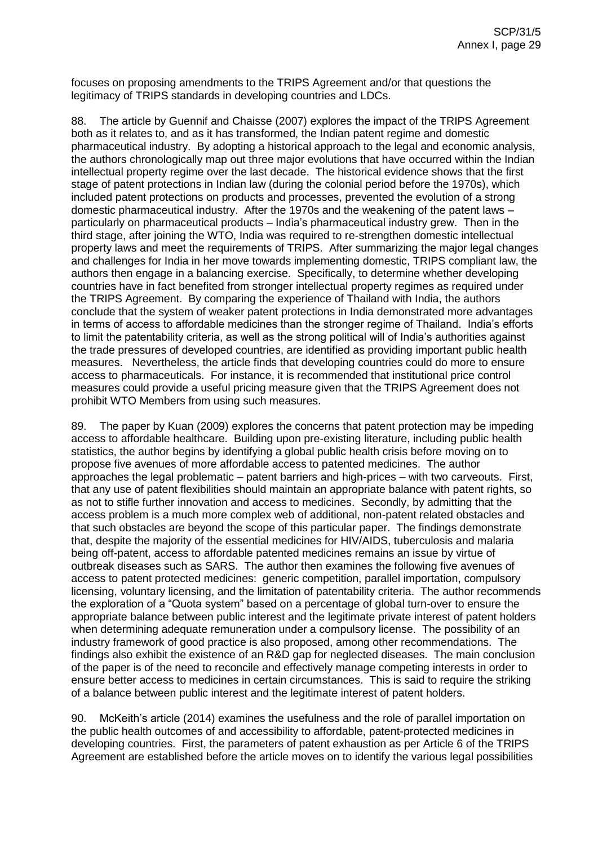focuses on proposing amendments to the TRIPS Agreement and/or that questions the legitimacy of TRIPS standards in developing countries and LDCs.

88. The article by Guennif and Chaisse (2007) explores the impact of the TRIPS Agreement both as it relates to, and as it has transformed, the Indian patent regime and domestic pharmaceutical industry. By adopting a historical approach to the legal and economic analysis, the authors chronologically map out three major evolutions that have occurred within the Indian intellectual property regime over the last decade. The historical evidence shows that the first stage of patent protections in Indian law (during the colonial period before the 1970s), which included patent protections on products and processes, prevented the evolution of a strong domestic pharmaceutical industry. After the 1970s and the weakening of the patent laws – particularly on pharmaceutical products – India's pharmaceutical industry grew. Then in the third stage, after joining the WTO, India was required to re-strengthen domestic intellectual property laws and meet the requirements of TRIPS. After summarizing the major legal changes and challenges for India in her move towards implementing domestic, TRIPS compliant law, the authors then engage in a balancing exercise. Specifically, to determine whether developing countries have in fact benefited from stronger intellectual property regimes as required under the TRIPS Agreement. By comparing the experience of Thailand with India, the authors conclude that the system of weaker patent protections in India demonstrated more advantages in terms of access to affordable medicines than the stronger regime of Thailand. India's efforts to limit the patentability criteria, as well as the strong political will of India's authorities against the trade pressures of developed countries, are identified as providing important public health measures. Nevertheless, the article finds that developing countries could do more to ensure access to pharmaceuticals. For instance, it is recommended that institutional price control measures could provide a useful pricing measure given that the TRIPS Agreement does not prohibit WTO Members from using such measures.

89. The paper by Kuan (2009) explores the concerns that patent protection may be impeding access to affordable healthcare. Building upon pre-existing literature, including public health statistics, the author begins by identifying a global public health crisis before moving on to propose five avenues of more affordable access to patented medicines. The author approaches the legal problematic – patent barriers and high-prices – with two carveouts. First, that any use of patent flexibilities should maintain an appropriate balance with patent rights, so as not to stifle further innovation and access to medicines. Secondly, by admitting that the access problem is a much more complex web of additional, non-patent related obstacles and that such obstacles are beyond the scope of this particular paper. The findings demonstrate that, despite the majority of the essential medicines for HIV/AIDS, tuberculosis and malaria being off-patent, access to affordable patented medicines remains an issue by virtue of outbreak diseases such as SARS. The author then examines the following five avenues of access to patent protected medicines: generic competition, parallel importation, compulsory licensing, voluntary licensing, and the limitation of patentability criteria. The author recommends the exploration of a "Quota system" based on a percentage of global turn-over to ensure the appropriate balance between public interest and the legitimate private interest of patent holders when determining adequate remuneration under a compulsory license. The possibility of an industry framework of good practice is also proposed, among other recommendations. The findings also exhibit the existence of an R&D gap for neglected diseases. The main conclusion of the paper is of the need to reconcile and effectively manage competing interests in order to ensure better access to medicines in certain circumstances. This is said to require the striking of a balance between public interest and the legitimate interest of patent holders.

90. McKeith's article (2014) examines the usefulness and the role of parallel importation on the public health outcomes of and accessibility to affordable, patent-protected medicines in developing countries. First, the parameters of patent exhaustion as per Article 6 of the TRIPS Agreement are established before the article moves on to identify the various legal possibilities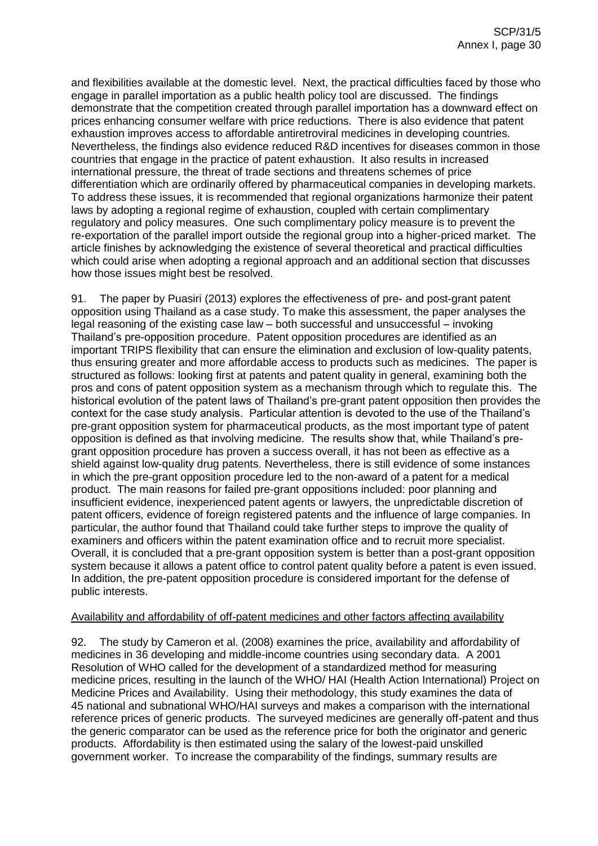and flexibilities available at the domestic level. Next, the practical difficulties faced by those who engage in parallel importation as a public health policy tool are discussed. The findings demonstrate that the competition created through parallel importation has a downward effect on prices enhancing consumer welfare with price reductions. There is also evidence that patent exhaustion improves access to affordable antiretroviral medicines in developing countries. Nevertheless, the findings also evidence reduced R&D incentives for diseases common in those countries that engage in the practice of patent exhaustion. It also results in increased international pressure, the threat of trade sections and threatens schemes of price differentiation which are ordinarily offered by pharmaceutical companies in developing markets. To address these issues, it is recommended that regional organizations harmonize their patent laws by adopting a regional regime of exhaustion, coupled with certain complimentary regulatory and policy measures. One such complimentary policy measure is to prevent the re-exportation of the parallel import outside the regional group into a higher-priced market. The article finishes by acknowledging the existence of several theoretical and practical difficulties which could arise when adopting a regional approach and an additional section that discusses how those issues might best be resolved.

91. The paper by Puasiri (2013) explores the effectiveness of pre- and post-grant patent opposition using Thailand as a case study. To make this assessment, the paper analyses the legal reasoning of the existing case law – both successful and unsuccessful – invoking Thailand's pre-opposition procedure. Patent opposition procedures are identified as an important TRIPS flexibility that can ensure the elimination and exclusion of low-quality patents, thus ensuring greater and more affordable access to products such as medicines. The paper is structured as follows: looking first at patents and patent quality in general, examining both the pros and cons of patent opposition system as a mechanism through which to regulate this. The historical evolution of the patent laws of Thailand's pre-grant patent opposition then provides the context for the case study analysis. Particular attention is devoted to the use of the Thailand's pre-grant opposition system for pharmaceutical products, as the most important type of patent opposition is defined as that involving medicine. The results show that, while Thailand's pregrant opposition procedure has proven a success overall, it has not been as effective as a shield against low-quality drug patents. Nevertheless, there is still evidence of some instances in which the pre-grant opposition procedure led to the non-award of a patent for a medical product. The main reasons for failed pre-grant oppositions included: poor planning and insufficient evidence, inexperienced patent agents or lawyers, the unpredictable discretion of patent officers, evidence of foreign registered patents and the influence of large companies. In particular, the author found that Thailand could take further steps to improve the quality of examiners and officers within the patent examination office and to recruit more specialist. Overall, it is concluded that a pre-grant opposition system is better than a post-grant opposition system because it allows a patent office to control patent quality before a patent is even issued. In addition, the pre-patent opposition procedure is considered important for the defense of public interests.

#### Availability and affordability of off-patent medicines and other factors affecting availability

92. The study by Cameron et al. (2008) examines the price, availability and affordability of medicines in 36 developing and middle-income countries using secondary data. A 2001 Resolution of WHO called for the development of a standardized method for measuring medicine prices, resulting in the launch of the WHO/ HAI (Health Action International) Project on Medicine Prices and Availability. Using their methodology, this study examines the data of 45 national and subnational WHO/HAI surveys and makes a comparison with the international reference prices of generic products. The surveyed medicines are generally off-patent and thus the generic comparator can be used as the reference price for both the originator and generic products. Affordability is then estimated using the salary of the lowest-paid unskilled government worker. To increase the comparability of the findings, summary results are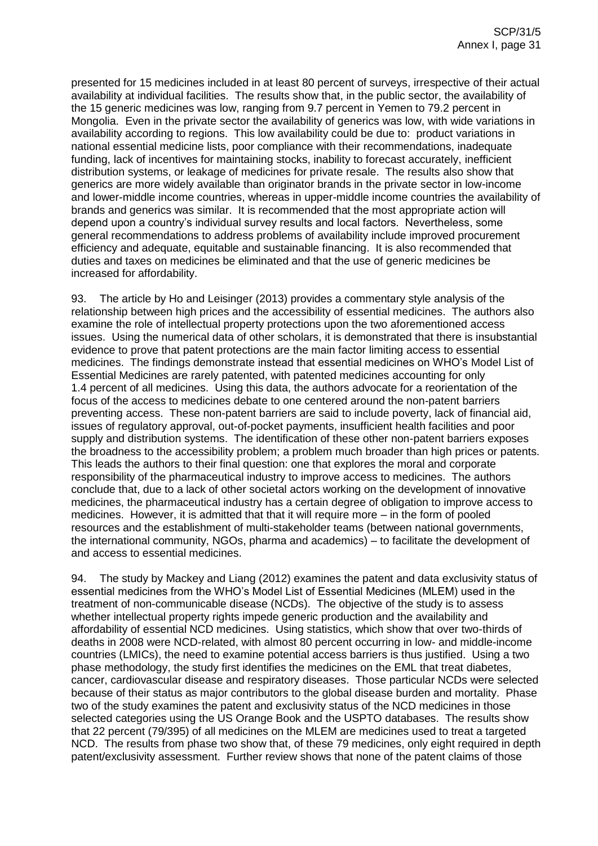presented for 15 medicines included in at least 80 percent of surveys, irrespective of their actual availability at individual facilities. The results show that, in the public sector, the availability of the 15 generic medicines was low, ranging from 9.7 percent in Yemen to 79.2 percent in Mongolia. Even in the private sector the availability of generics was low, with wide variations in availability according to regions. This low availability could be due to: product variations in national essential medicine lists, poor compliance with their recommendations, inadequate funding, lack of incentives for maintaining stocks, inability to forecast accurately, inefficient distribution systems, or leakage of medicines for private resale. The results also show that generics are more widely available than originator brands in the private sector in low-income and lower-middle income countries, whereas in upper-middle income countries the availability of brands and generics was similar. It is recommended that the most appropriate action will depend upon a country's individual survey results and local factors. Nevertheless, some general recommendations to address problems of availability include improved procurement efficiency and adequate, equitable and sustainable financing. It is also recommended that duties and taxes on medicines be eliminated and that the use of generic medicines be increased for affordability.

93. The article by Ho and Leisinger (2013) provides a commentary style analysis of the relationship between high prices and the accessibility of essential medicines. The authors also examine the role of intellectual property protections upon the two aforementioned access issues. Using the numerical data of other scholars, it is demonstrated that there is insubstantial evidence to prove that patent protections are the main factor limiting access to essential medicines. The findings demonstrate instead that essential medicines on WHO's Model List of Essential Medicines are rarely patented, with patented medicines accounting for only 1.4 percent of all medicines. Using this data, the authors advocate for a reorientation of the focus of the access to medicines debate to one centered around the non-patent barriers preventing access. These non-patent barriers are said to include poverty, lack of financial aid, issues of regulatory approval, out-of-pocket payments, insufficient health facilities and poor supply and distribution systems. The identification of these other non-patent barriers exposes the broadness to the accessibility problem; a problem much broader than high prices or patents. This leads the authors to their final question: one that explores the moral and corporate responsibility of the pharmaceutical industry to improve access to medicines. The authors conclude that, due to a lack of other societal actors working on the development of innovative medicines, the pharmaceutical industry has a certain degree of obligation to improve access to medicines. However, it is admitted that that it will require more – in the form of pooled resources and the establishment of multi-stakeholder teams (between national governments, the international community, NGOs, pharma and academics) – to facilitate the development of and access to essential medicines.

94. The study by Mackey and Liang (2012) examines the patent and data exclusivity status of essential medicines from the WHO's Model List of Essential Medicines (MLEM) used in the treatment of non-communicable disease (NCDs). The objective of the study is to assess whether intellectual property rights impede generic production and the availability and affordability of essential NCD medicines. Using statistics, which show that over two-thirds of deaths in 2008 were NCD-related, with almost 80 percent occurring in low- and middle-income countries (LMICs), the need to examine potential access barriers is thus justified. Using a two phase methodology, the study first identifies the medicines on the EML that treat diabetes, cancer, cardiovascular disease and respiratory diseases. Those particular NCDs were selected because of their status as major contributors to the global disease burden and mortality. Phase two of the study examines the patent and exclusivity status of the NCD medicines in those selected categories using the US Orange Book and the USPTO databases. The results show that 22 percent (79/395) of all medicines on the MLEM are medicines used to treat a targeted NCD. The results from phase two show that, of these 79 medicines, only eight required in depth patent/exclusivity assessment. Further review shows that none of the patent claims of those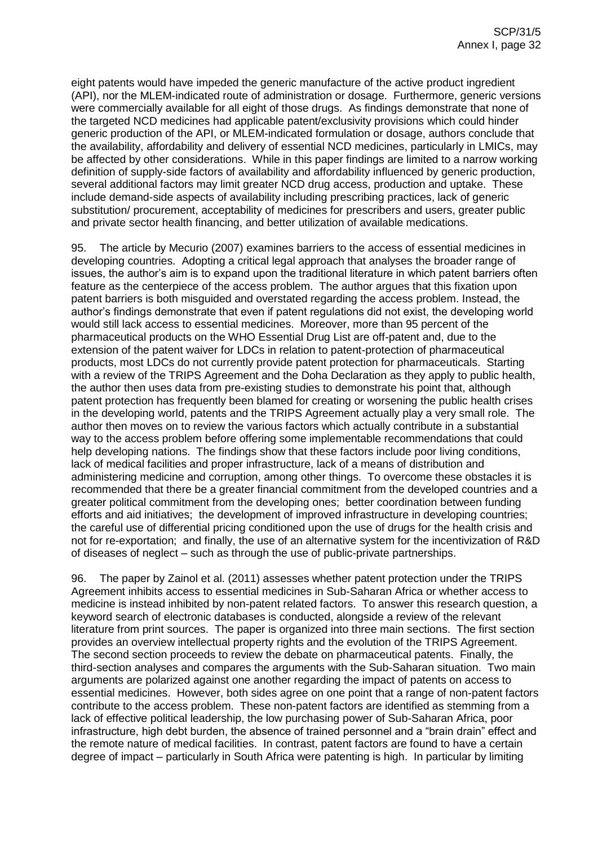eight patents would have impeded the generic manufacture of the active product ingredient (API), nor the MLEM-indicated route of administration or dosage. Furthermore, generic versions were commercially available for all eight of those drugs. As findings demonstrate that none of the targeted NCD medicines had applicable patent/exclusivity provisions which could hinder generic production of the API, or MLEM-indicated formulation or dosage, authors conclude that the availability, affordability and delivery of essential NCD medicines, particularly in LMICs, may be affected by other considerations. While in this paper findings are limited to a narrow working definition of supply-side factors of availability and affordability influenced by generic production, several additional factors may limit greater NCD drug access, production and uptake. These include demand-side aspects of availability including prescribing practices, lack of generic substitution/ procurement, acceptability of medicines for prescribers and users, greater public and private sector health financing, and better utilization of available medications.

95. The article by Mecurio (2007) examines barriers to the access of essential medicines in developing countries. Adopting a critical legal approach that analyses the broader range of issues, the author's aim is to expand upon the traditional literature in which patent barriers often feature as the centerpiece of the access problem. The author argues that this fixation upon patent barriers is both misguided and overstated regarding the access problem. Instead, the author's findings demonstrate that even if patent regulations did not exist, the developing world would still lack access to essential medicines. Moreover, more than 95 percent of the pharmaceutical products on the WHO Essential Drug List are off-patent and, due to the extension of the patent waiver for LDCs in relation to patent-protection of pharmaceutical products, most LDCs do not currently provide patent protection for pharmaceuticals. Starting with a review of the TRIPS Agreement and the Doha Declaration as they apply to public health, the author then uses data from pre-existing studies to demonstrate his point that, although patent protection has frequently been blamed for creating or worsening the public health crises in the developing world, patents and the TRIPS Agreement actually play a very small role. The author then moves on to review the various factors which actually contribute in a substantial way to the access problem before offering some implementable recommendations that could help developing nations. The findings show that these factors include poor living conditions, lack of medical facilities and proper infrastructure, lack of a means of distribution and administering medicine and corruption, among other things. To overcome these obstacles it is recommended that there be a greater financial commitment from the developed countries and a greater political commitment from the developing ones; better coordination between funding efforts and aid initiatives; the development of improved infrastructure in developing countries; the careful use of differential pricing conditioned upon the use of drugs for the health crisis and not for re-exportation; and finally, the use of an alternative system for the incentivization of R&D of diseases of neglect – such as through the use of public-private partnerships.

96. The paper by Zainol et al. (2011) assesses whether patent protection under the TRIPS Agreement inhibits access to essential medicines in Sub-Saharan Africa or whether access to medicine is instead inhibited by non-patent related factors. To answer this research question, a keyword search of electronic databases is conducted, alongside a review of the relevant literature from print sources. The paper is organized into three main sections. The first section provides an overview intellectual property rights and the evolution of the TRIPS Agreement. The second section proceeds to review the debate on pharmaceutical patents. Finally, the third-section analyses and compares the arguments with the Sub-Saharan situation. Two main arguments are polarized against one another regarding the impact of patents on access to essential medicines. However, both sides agree on one point that a range of non-patent factors contribute to the access problem. These non-patent factors are identified as stemming from a lack of effective political leadership, the low purchasing power of Sub-Saharan Africa, poor infrastructure, high debt burden, the absence of trained personnel and a "brain drain" effect and the remote nature of medical facilities. In contrast, patent factors are found to have a certain degree of impact – particularly in South Africa were patenting is high. In particular by limiting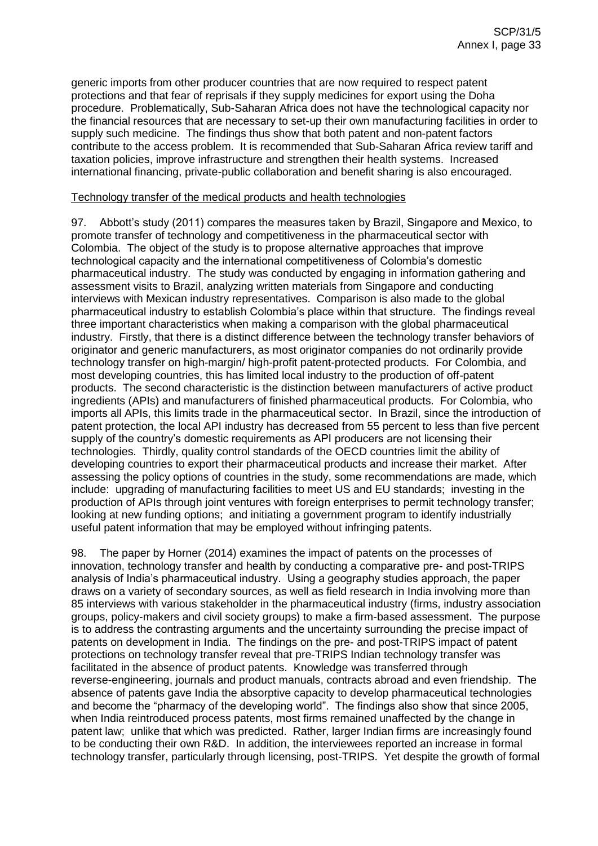generic imports from other producer countries that are now required to respect patent protections and that fear of reprisals if they supply medicines for export using the Doha procedure. Problematically, Sub-Saharan Africa does not have the technological capacity nor the financial resources that are necessary to set-up their own manufacturing facilities in order to supply such medicine. The findings thus show that both patent and non-patent factors contribute to the access problem. It is recommended that Sub-Saharan Africa review tariff and taxation policies, improve infrastructure and strengthen their health systems. Increased international financing, private-public collaboration and benefit sharing is also encouraged.

## Technology transfer of the medical products and health technologies

97. Abbott's study (2011) compares the measures taken by Brazil, Singapore and Mexico, to promote transfer of technology and competitiveness in the pharmaceutical sector with Colombia. The object of the study is to propose alternative approaches that improve technological capacity and the international competitiveness of Colombia's domestic pharmaceutical industry. The study was conducted by engaging in information gathering and assessment visits to Brazil, analyzing written materials from Singapore and conducting interviews with Mexican industry representatives. Comparison is also made to the global pharmaceutical industry to establish Colombia's place within that structure. The findings reveal three important characteristics when making a comparison with the global pharmaceutical industry. Firstly, that there is a distinct difference between the technology transfer behaviors of originator and generic manufacturers, as most originator companies do not ordinarily provide technology transfer on high-margin/ high-profit patent-protected products. For Colombia, and most developing countries, this has limited local industry to the production of off-patent products. The second characteristic is the distinction between manufacturers of active product ingredients (APIs) and manufacturers of finished pharmaceutical products. For Colombia, who imports all APIs, this limits trade in the pharmaceutical sector. In Brazil, since the introduction of patent protection, the local API industry has decreased from 55 percent to less than five percent supply of the country's domestic requirements as API producers are not licensing their technologies. Thirdly, quality control standards of the OECD countries limit the ability of developing countries to export their pharmaceutical products and increase their market. After assessing the policy options of countries in the study, some recommendations are made, which include: upgrading of manufacturing facilities to meet US and EU standards; investing in the production of APIs through joint ventures with foreign enterprises to permit technology transfer; looking at new funding options; and initiating a government program to identify industrially useful patent information that may be employed without infringing patents.

98. The paper by Horner (2014) examines the impact of patents on the processes of innovation, technology transfer and health by conducting a comparative pre- and post-TRIPS analysis of India's pharmaceutical industry. Using a geography studies approach, the paper draws on a variety of secondary sources, as well as field research in India involving more than 85 interviews with various stakeholder in the pharmaceutical industry (firms, industry association groups, policy-makers and civil society groups) to make a firm-based assessment. The purpose is to address the contrasting arguments and the uncertainty surrounding the precise impact of patents on development in India. The findings on the pre- and post-TRIPS impact of patent protections on technology transfer reveal that pre-TRIPS Indian technology transfer was facilitated in the absence of product patents. Knowledge was transferred through reverse-engineering, journals and product manuals, contracts abroad and even friendship. The absence of patents gave India the absorptive capacity to develop pharmaceutical technologies and become the "pharmacy of the developing world". The findings also show that since 2005, when India reintroduced process patents, most firms remained unaffected by the change in patent law; unlike that which was predicted. Rather, larger Indian firms are increasingly found to be conducting their own R&D. In addition, the interviewees reported an increase in formal technology transfer, particularly through licensing, post-TRIPS. Yet despite the growth of formal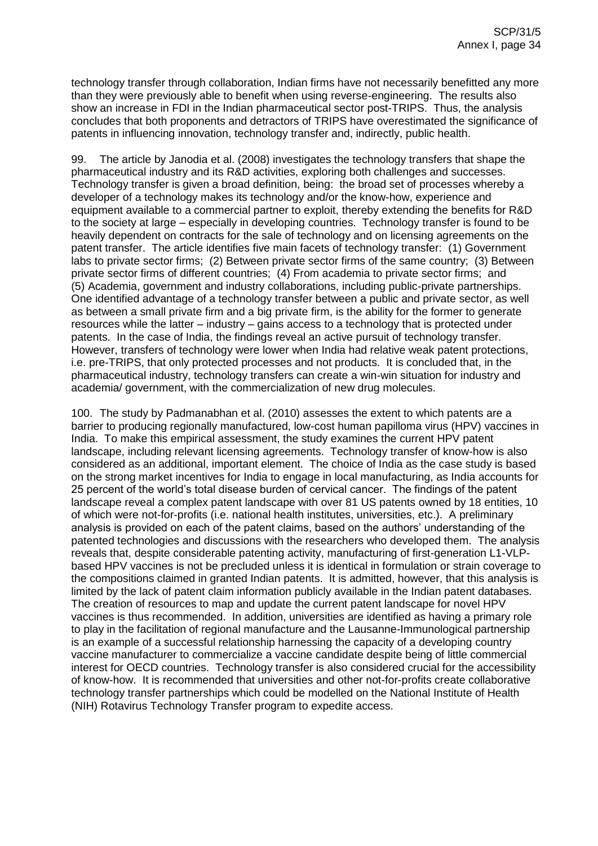technology transfer through collaboration, Indian firms have not necessarily benefitted any more than they were previously able to benefit when using reverse-engineering. The results also show an increase in FDI in the Indian pharmaceutical sector post-TRIPS. Thus, the analysis concludes that both proponents and detractors of TRIPS have overestimated the significance of patents in influencing innovation, technology transfer and, indirectly, public health.

99. The article by Janodia et al. (2008) investigates the technology transfers that shape the pharmaceutical industry and its R&D activities, exploring both challenges and successes. Technology transfer is given a broad definition, being: the broad set of processes whereby a developer of a technology makes its technology and/or the know-how, experience and equipment available to a commercial partner to exploit, thereby extending the benefits for R&D to the society at large – especially in developing countries. Technology transfer is found to be heavily dependent on contracts for the sale of technology and on licensing agreements on the patent transfer. The article identifies five main facets of technology transfer: (1) Government labs to private sector firms; (2) Between private sector firms of the same country; (3) Between private sector firms of different countries; (4) From academia to private sector firms; and (5) Academia, government and industry collaborations, including public-private partnerships. One identified advantage of a technology transfer between a public and private sector, as well as between a small private firm and a big private firm, is the ability for the former to generate resources while the latter – industry – gains access to a technology that is protected under patents. In the case of India, the findings reveal an active pursuit of technology transfer. However, transfers of technology were lower when India had relative weak patent protections, i.e. pre-TRIPS, that only protected processes and not products. It is concluded that, in the pharmaceutical industry, technology transfers can create a win-win situation for industry and academia/ government, with the commercialization of new drug molecules.

100. The study by Padmanabhan et al. (2010) assesses the extent to which patents are a barrier to producing regionally manufactured, low-cost human papilloma virus (HPV) vaccines in India. To make this empirical assessment, the study examines the current HPV patent landscape, including relevant licensing agreements. Technology transfer of know-how is also considered as an additional, important element. The choice of India as the case study is based on the strong market incentives for India to engage in local manufacturing, as India accounts for 25 percent of the world's total disease burden of cervical cancer. The findings of the patent landscape reveal a complex patent landscape with over 81 US patents owned by 18 entities, 10 of which were not-for-profits (i.e. national health institutes, universities, etc.). A preliminary analysis is provided on each of the patent claims, based on the authors' understanding of the patented technologies and discussions with the researchers who developed them. The analysis reveals that, despite considerable patenting activity, manufacturing of first-generation L1-VLPbased HPV vaccines is not be precluded unless it is identical in formulation or strain coverage to the compositions claimed in granted Indian patents. It is admitted, however, that this analysis is limited by the lack of patent claim information publicly available in the Indian patent databases. The creation of resources to map and update the current patent landscape for novel HPV vaccines is thus recommended. In addition, universities are identified as having a primary role to play in the facilitation of regional manufacture and the Lausanne-Immunological partnership is an example of a successful relationship harnessing the capacity of a developing country vaccine manufacturer to commercialize a vaccine candidate despite being of little commercial interest for OECD countries. Technology transfer is also considered crucial for the accessibility of know-how. It is recommended that universities and other not-for-profits create collaborative technology transfer partnerships which could be modelled on the National Institute of Health (NIH) Rotavirus Technology Transfer program to expedite access.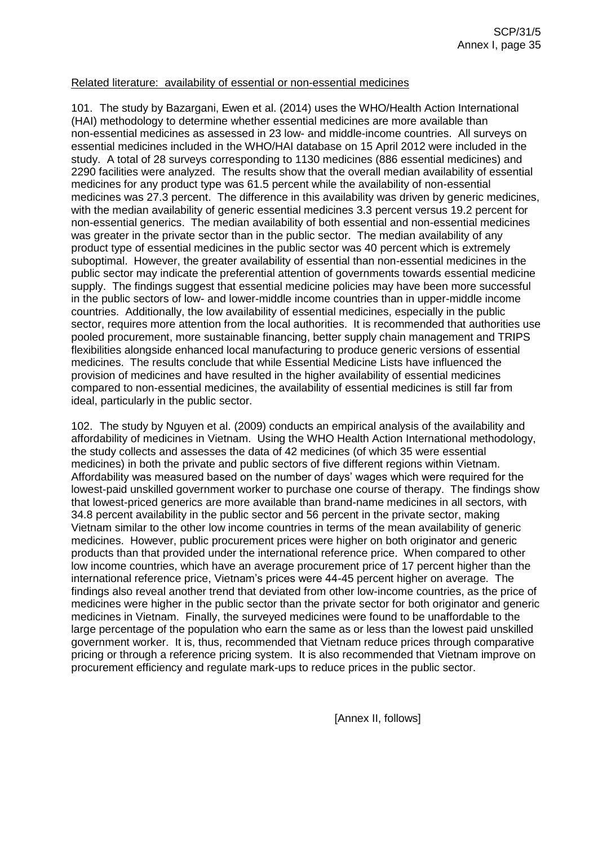## Related literature: availability of essential or non-essential medicines

101. The study by Bazargani, Ewen et al. (2014) uses the WHO/Health Action International (HAI) methodology to determine whether essential medicines are more available than non-essential medicines as assessed in 23 low- and middle-income countries. All surveys on essential medicines included in the WHO/HAI database on 15 April 2012 were included in the study. A total of 28 surveys corresponding to 1130 medicines (886 essential medicines) and 2290 facilities were analyzed. The results show that the overall median availability of essential medicines for any product type was 61.5 percent while the availability of non-essential medicines was 27.3 percent. The difference in this availability was driven by generic medicines, with the median availability of generic essential medicines 3.3 percent versus 19.2 percent for non-essential generics. The median availability of both essential and non-essential medicines was greater in the private sector than in the public sector. The median availability of any product type of essential medicines in the public sector was 40 percent which is extremely suboptimal. However, the greater availability of essential than non-essential medicines in the public sector may indicate the preferential attention of governments towards essential medicine supply. The findings suggest that essential medicine policies may have been more successful in the public sectors of low- and lower-middle income countries than in upper-middle income countries. Additionally, the low availability of essential medicines, especially in the public sector, requires more attention from the local authorities. It is recommended that authorities use pooled procurement, more sustainable financing, better supply chain management and TRIPS flexibilities alongside enhanced local manufacturing to produce generic versions of essential medicines. The results conclude that while Essential Medicine Lists have influenced the provision of medicines and have resulted in the higher availability of essential medicines compared to non-essential medicines, the availability of essential medicines is still far from ideal, particularly in the public sector.

102. The study by Nguyen et al. (2009) conducts an empirical analysis of the availability and affordability of medicines in Vietnam. Using the WHO Health Action International methodology, the study collects and assesses the data of 42 medicines (of which 35 were essential medicines) in both the private and public sectors of five different regions within Vietnam. Affordability was measured based on the number of days' wages which were required for the lowest-paid unskilled government worker to purchase one course of therapy. The findings show that lowest-priced generics are more available than brand-name medicines in all sectors, with 34.8 percent availability in the public sector and 56 percent in the private sector, making Vietnam similar to the other low income countries in terms of the mean availability of generic medicines. However, public procurement prices were higher on both originator and generic products than that provided under the international reference price. When compared to other low income countries, which have an average procurement price of 17 percent higher than the international reference price, Vietnam's prices were 44-45 percent higher on average. The findings also reveal another trend that deviated from other low-income countries, as the price of medicines were higher in the public sector than the private sector for both originator and generic medicines in Vietnam. Finally, the surveyed medicines were found to be unaffordable to the large percentage of the population who earn the same as or less than the lowest paid unskilled government worker. It is, thus, recommended that Vietnam reduce prices through comparative pricing or through a reference pricing system. It is also recommended that Vietnam improve on procurement efficiency and regulate mark-ups to reduce prices in the public sector.

[Annex II, follows]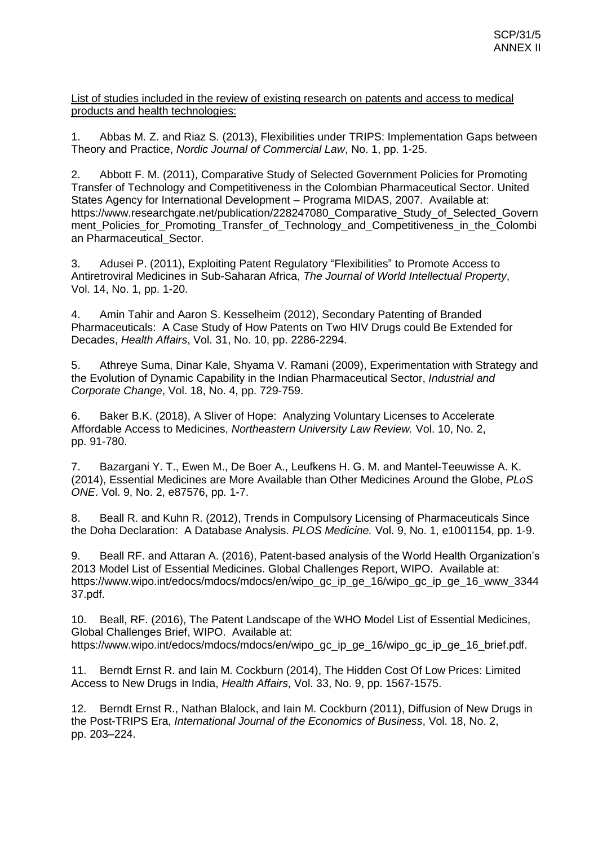List of studies included in the review of existing research on patents and access to medical products and health technologies:

1. Abbas M. Z. and Riaz S. (2013), Flexibilities under TRIPS: Implementation Gaps between Theory and Practice, *Nordic Journal of Commercial Law*, No. 1, pp. 1-25.

2. Abbott F. M. (2011), Comparative Study of Selected Government Policies for Promoting Transfer of Technology and Competitiveness in the Colombian Pharmaceutical Sector. United States Agency for International Development – Programa MIDAS, 2007. Available at: https://www.researchgate.net/publication/228247080\_Comparative\_Study\_of\_Selected\_Govern ment\_Policies\_for\_Promoting\_Transfer\_of\_Technology\_and\_Competitiveness\_in\_the\_Colombi an Pharmaceutical Sector.

3. Adusei P. (2011), Exploiting Patent Regulatory "Flexibilities" to Promote Access to Antiretroviral Medicines in Sub-Saharan Africa, *The Journal of World Intellectual Property*, Vol. 14, No. 1, pp. 1-20.

4. Amin Tahir and Aaron S. Kesselheim (2012), Secondary Patenting of Branded Pharmaceuticals: A Case Study of How Patents on Two HIV Drugs could Be Extended for Decades, *Health Affairs*, Vol. 31, No. 10, pp. 2286-2294.

5. Athreye Suma, Dinar Kale, Shyama V. Ramani (2009), Experimentation with Strategy and the Evolution of Dynamic Capability in the Indian Pharmaceutical Sector, *Industrial and Corporate Change*, Vol. 18, No. 4, pp. 729-759.

6. Baker B.K. (2018), A Sliver of Hope: Analyzing Voluntary Licenses to Accelerate Affordable Access to Medicines, *Northeastern University Law Review.* Vol. 10, No. 2, pp. 91-780.

7. Bazargani Y. T., Ewen M., De Boer A., Leufkens H. G. M. and Mantel-Teeuwisse A. K. (2014), Essential Medicines are More Available than Other Medicines Around the Globe, *PLoS ONE*. Vol. 9, No. 2, e87576, pp. 1-7.

8. Beall R. and Kuhn R. (2012), Trends in Compulsory Licensing of Pharmaceuticals Since the Doha Declaration: A Database Analysis. *PLOS Medicine.* Vol. 9, No. 1, e1001154, pp. 1-9.

9. Beall RF. and Attaran A. (2016), Patent-based analysis of the World Health Organization's 2013 Model List of Essential Medicines. Global Challenges Report, WIPO. Available at: https://www.wipo.int/edocs/mdocs/mdocs/en/wipo\_gc\_ip\_ge\_16/wipo\_gc\_ip\_ge\_16\_www\_3344 37.pdf.

10. Beall, RF. (2016), The Patent Landscape of the WHO Model List of Essential Medicines, Global Challenges Brief, WIPO. Available at: https://www.wipo.int/edocs/mdocs/mdocs/en/wipo\_gc\_ip\_ge\_16/wipo\_gc\_ip\_ge\_16\_brief.pdf.

11. Berndt Ernst R. and Iain M. Cockburn (2014), The Hidden Cost Of Low Prices: Limited Access to New Drugs in India, *Health Affairs*, Vol. 33, No. 9, pp. 1567-1575.

12. Berndt Ernst R., Nathan Blalock, and Iain M. Cockburn (2011), Diffusion of New Drugs in the Post-TRIPS Era, *International Journal of the Economics of Business*, Vol. 18, No. 2, pp. 203–224.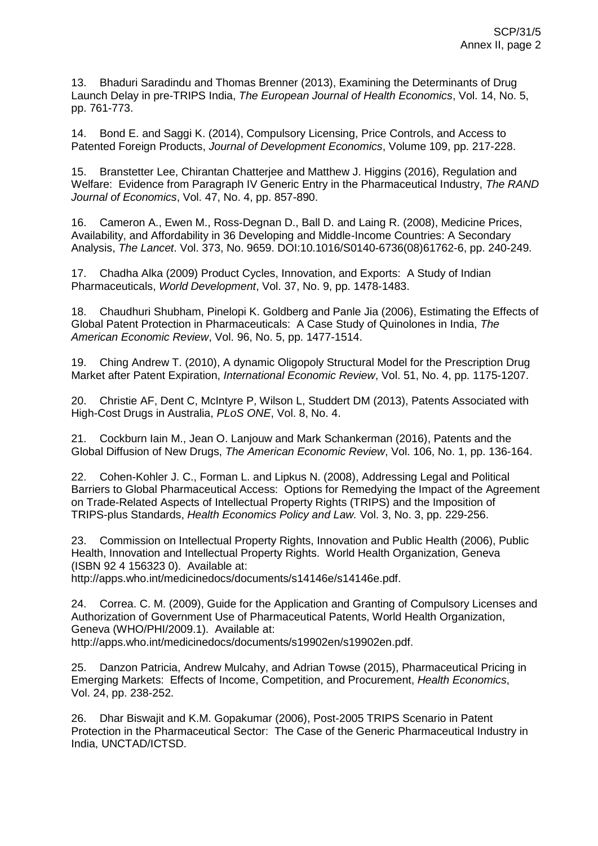13. Bhaduri Saradindu and Thomas Brenner (2013), Examining the Determinants of Drug Launch Delay in pre-TRIPS India, *The European Journal of Health Economics*, Vol. 14, No. 5, pp. 761-773.

14. Bond E. and Saggi K. (2014), Compulsory Licensing, Price Controls, and Access to Patented Foreign Products, *Journal of Development Economics*, Volume 109, pp. 217-228.

15. Branstetter Lee, Chirantan Chatterjee and Matthew J. Higgins (2016), Regulation and Welfare: Evidence from Paragraph IV Generic Entry in the Pharmaceutical Industry, *The RAND Journal of Economics*, Vol. 47, No. 4, pp. 857-890.

16. Cameron A., Ewen M., Ross-Degnan D., Ball D. and Laing R. (2008), Medicine Prices, Availability, and Affordability in 36 Developing and Middle-Income Countries: A Secondary Analysis, *The Lancet*. Vol. 373, No. 9659. DOI:10.1016/S0140-6736(08)61762-6, pp. 240-249.

17. Chadha Alka (2009) Product Cycles, Innovation, and Exports: A Study of Indian Pharmaceuticals, *World Development*, Vol. 37, No. 9, pp. 1478-1483.

18. Chaudhuri Shubham, Pinelopi K. Goldberg and Panle Jia (2006), Estimating the Effects of Global Patent Protection in Pharmaceuticals: A Case Study of Quinolones in India, *The American Economic Review*, Vol. 96, No. 5, pp. 1477-1514.

19. Ching Andrew T. (2010), A dynamic Oligopoly Structural Model for the Prescription Drug Market after Patent Expiration, *International Economic Review*, Vol. 51, No. 4, pp. 1175-1207.

20. Christie AF, Dent C, McIntyre P, Wilson L, Studdert DM (2013), Patents Associated with High-Cost Drugs in Australia, *PLoS ONE*, Vol. 8, No. 4.

21. Cockburn Iain M., Jean O. Lanjouw and Mark Schankerman (2016), Patents and the Global Diffusion of New Drugs, *The American Economic Review*, Vol. 106, No. 1, pp. 136-164.

22. Cohen-Kohler J. C., Forman L. and Lipkus N. (2008), Addressing Legal and Political Barriers to Global Pharmaceutical Access: Options for Remedying the Impact of the Agreement on Trade-Related Aspects of Intellectual Property Rights (TRIPS) and the Imposition of TRIPS-plus Standards, *Health Economics Policy and Law.* Vol. 3, No. 3, pp. 229-256.

23. Commission on Intellectual Property Rights, Innovation and Public Health (2006), Public Health, Innovation and Intellectual Property Rights. World Health Organization, Geneva (ISBN 92 4 156323 0). Available at:

http://apps.who.int/medicinedocs/documents/s14146e/s14146e.pdf.

24. Correa. C. M. (2009), Guide for the Application and Granting of Compulsory Licenses and Authorization of Government Use of Pharmaceutical Patents, World Health Organization, Geneva (WHO/PHI/2009.1). Available at: http://apps.who.int/medicinedocs/documents/s19902en/s19902en.pdf.

25. Danzon Patricia, Andrew Mulcahy, and Adrian Towse (2015), Pharmaceutical Pricing in Emerging Markets: Effects of Income, Competition, and Procurement, *Health Economics*, Vol. 24, pp. 238-252.

26. Dhar Biswajit and K.M. Gopakumar (2006), Post-2005 TRIPS Scenario in Patent Protection in the Pharmaceutical Sector: The Case of the Generic Pharmaceutical Industry in India, UNCTAD/ICTSD.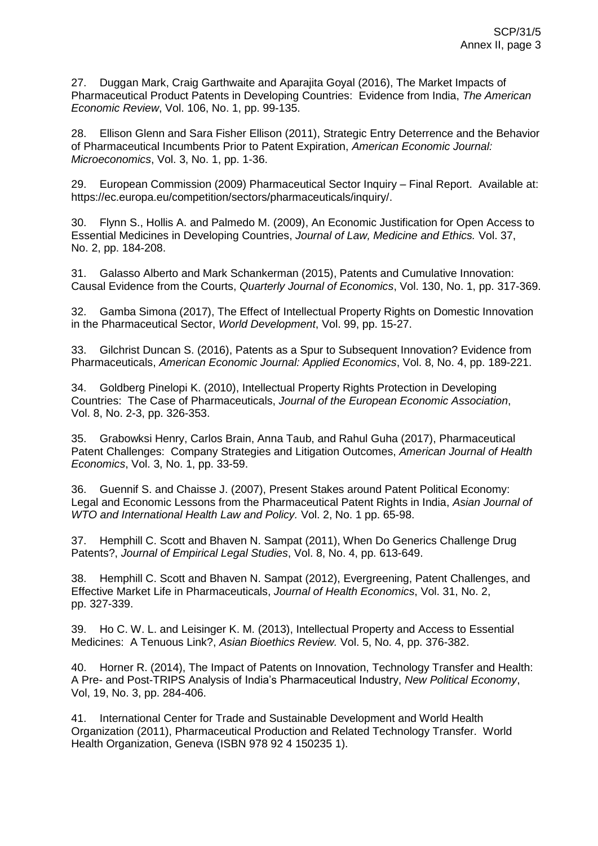27. Duggan Mark, Craig Garthwaite and Aparajita Goyal (2016), The Market Impacts of Pharmaceutical Product Patents in Developing Countries: Evidence from India, *The American Economic Review*, Vol. 106, No. 1, pp. 99-135.

28. Ellison Glenn and Sara Fisher Ellison (2011), Strategic Entry Deterrence and the Behavior of Pharmaceutical Incumbents Prior to Patent Expiration, *American Economic Journal: Microeconomics*, Vol. 3, No. 1, pp. 1-36.

29. European Commission (2009) Pharmaceutical Sector Inquiry – Final Report. Available at: https://ec.europa.eu/competition/sectors/pharmaceuticals/inquiry/.

30. Flynn S., Hollis A. and Palmedo M. (2009), An Economic Justification for Open Access to Essential Medicines in Developing Countries, *Journal of Law, Medicine and Ethics.* Vol. 37, No. 2, pp. 184-208.

31. Galasso Alberto and Mark Schankerman (2015), Patents and Cumulative Innovation: Causal Evidence from the Courts, *Quarterly Journal of Economics*, Vol. 130, No. 1, pp. 317-369.

32. Gamba Simona (2017), The Effect of Intellectual Property Rights on Domestic Innovation in the Pharmaceutical Sector, *World Development*, Vol. 99, pp. 15-27.

33. Gilchrist Duncan S. (2016), Patents as a Spur to Subsequent Innovation? Evidence from Pharmaceuticals, *American Economic Journal: Applied Economics*, Vol. 8, No. 4, pp. 189-221.

34. Goldberg Pinelopi K. (2010), Intellectual Property Rights Protection in Developing Countries: The Case of Pharmaceuticals, *Journal of the European Economic Association*, Vol. 8, No. 2-3, pp. 326-353.

35. Grabowksi Henry, Carlos Brain, Anna Taub, and Rahul Guha (2017), Pharmaceutical Patent Challenges: Company Strategies and Litigation Outcomes, *American Journal of Health Economics*, Vol. 3, No. 1, pp. 33-59.

36. Guennif S. and Chaisse J. (2007), Present Stakes around Patent Political Economy: Legal and Economic Lessons from the Pharmaceutical Patent Rights in India, *Asian Journal of WTO and International Health Law and Policy.* Vol. 2, No. 1 pp. 65-98.

37. Hemphill C. Scott and Bhaven N. Sampat (2011), When Do Generics Challenge Drug Patents?, *Journal of Empirical Legal Studies*, Vol. 8, No. 4, pp. 613-649.

38. Hemphill C. Scott and Bhaven N. Sampat (2012), Evergreening, Patent Challenges, and Effective Market Life in Pharmaceuticals, *Journal of Health Economics*, Vol. 31, No. 2, pp. 327-339.

39. Ho C. W. L. and Leisinger K. M. (2013), Intellectual Property and Access to Essential Medicines: A Tenuous Link?, *Asian Bioethics Review.* Vol. 5, No. 4, pp. 376-382.

40. Horner R. (2014), The Impact of Patents on Innovation, Technology Transfer and Health: A Pre- and Post-TRIPS Analysis of India's Pharmaceutical Industry, *New Political Economy*, Vol, 19, No. 3, pp. 284-406.

41. International Center for Trade and Sustainable Development and World Health Organization (2011), Pharmaceutical Production and Related Technology Transfer. World Health Organization, Geneva (ISBN 978 92 4 150235 1).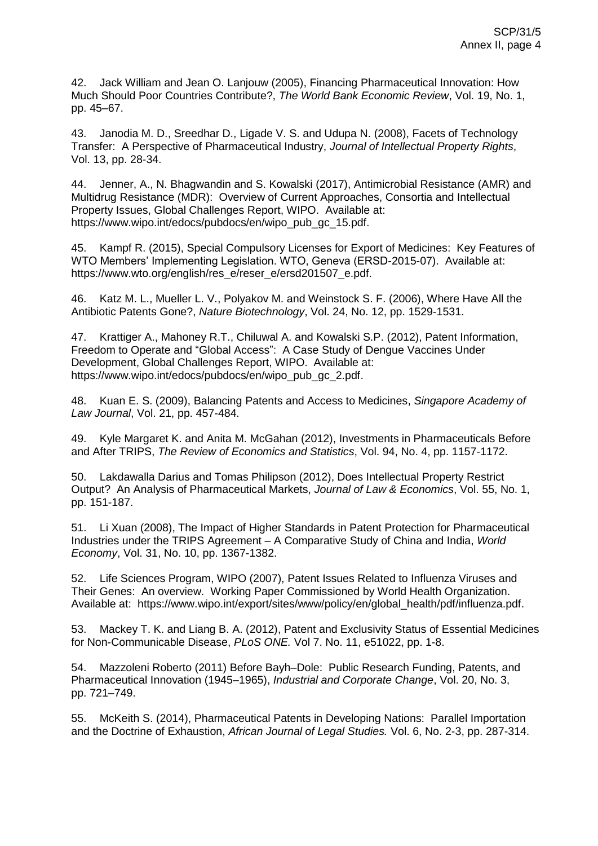42. Jack William and Jean O. Lanjouw (2005), Financing Pharmaceutical Innovation: How Much Should Poor Countries Contribute?, *The World Bank Economic Review*, Vol. 19, No. 1, pp. 45–67.

43. Janodia M. D., Sreedhar D., Ligade V. S. and Udupa N. (2008), Facets of Technology Transfer: A Perspective of Pharmaceutical Industry, *Journal of Intellectual Property Rights*, Vol. 13, pp. 28-34.

44. Jenner, A., N. Bhagwandin and S. Kowalski (2017), Antimicrobial Resistance (AMR) and Multidrug Resistance (MDR): Overview of Current Approaches, Consortia and Intellectual Property Issues, Global Challenges Report, WIPO. Available at: https://www.wipo.int/edocs/pubdocs/en/wipo\_pub\_gc\_15.pdf.

45. Kampf R. (2015), Special Compulsory Licenses for Export of Medicines: Key Features of WTO Members' Implementing Legislation. WTO, Geneva (ERSD-2015-07). Available at: https://www.wto.org/english/res\_e/reser\_e/ersd201507\_e.pdf.

46. Katz M. L., Mueller L. V., Polyakov M. and Weinstock S. F. (2006), Where Have All the Antibiotic Patents Gone?, *Nature Biotechnology*, Vol. 24, No. 12, pp. 1529-1531.

47. Krattiger A., Mahoney R.T., Chiluwal A. and Kowalski S.P. (2012), Patent Information, Freedom to Operate and "Global Access": A Case Study of Dengue Vaccines Under Development, Global Challenges Report, WIPO. Available at: https://www.wipo.int/edocs/pubdocs/en/wipo\_pub\_gc\_2.pdf.

48. Kuan E. S. (2009), Balancing Patents and Access to Medicines, *Singapore Academy of Law Journal*, Vol. 21, pp. 457-484.

49. Kyle Margaret K. and Anita M. McGahan (2012), Investments in Pharmaceuticals Before and After TRIPS, *The Review of Economics and Statistics*, Vol. 94, No. 4, pp. 1157-1172.

50. Lakdawalla Darius and Tomas Philipson (2012), Does Intellectual Property Restrict Output? An Analysis of Pharmaceutical Markets, *Journal of Law & Economics*, Vol. 55, No. 1, pp. 151-187.

51. Li Xuan (2008), The Impact of Higher Standards in Patent Protection for Pharmaceutical Industries under the TRIPS Agreement – A Comparative Study of China and India, *World Economy*, Vol. 31, No. 10, pp. 1367-1382.

52. Life Sciences Program, WIPO (2007), Patent Issues Related to Influenza Viruses and Their Genes: An overview. Working Paper Commissioned by World Health Organization. Available at: https://www.wipo.int/export/sites/www/policy/en/global\_health/pdf/influenza.pdf.

53. Mackey T. K. and Liang B. A. (2012), Patent and Exclusivity Status of Essential Medicines for Non-Communicable Disease, *PLoS ONE.* Vol 7. No. 11, e51022, pp. 1-8.

54. Mazzoleni Roberto (2011) Before Bayh–Dole: Public Research Funding, Patents, and Pharmaceutical Innovation (1945–1965), *Industrial and Corporate Change*, Vol. 20, No. 3, pp. 721–749.

55. McKeith S. (2014), Pharmaceutical Patents in Developing Nations: Parallel Importation and the Doctrine of Exhaustion, *African Journal of Legal Studies.* Vol. 6, No. 2-3, pp. 287-314.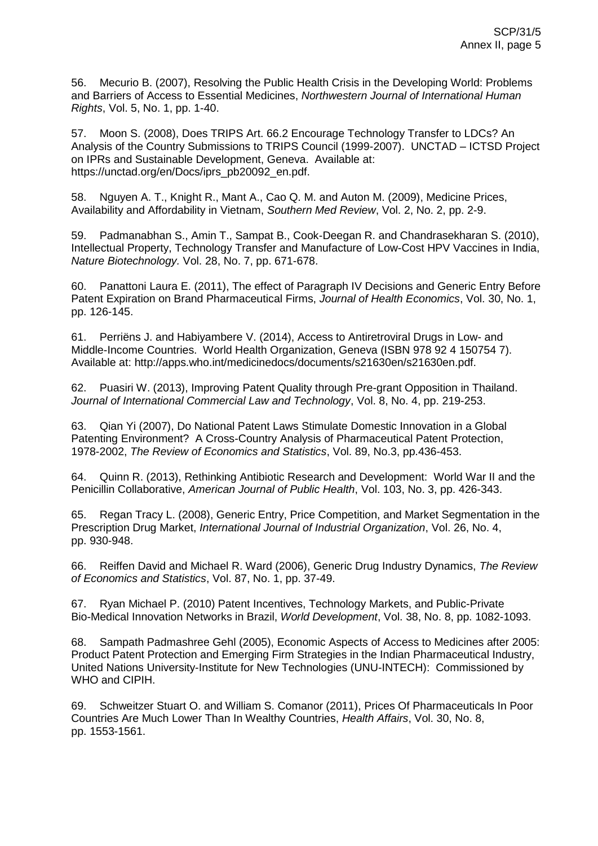56. Mecurio B. (2007), Resolving the Public Health Crisis in the Developing World: Problems and Barriers of Access to Essential Medicines, *Northwestern Journal of International Human Rights*, Vol. 5, No. 1, pp. 1-40.

57. Moon S. (2008), Does TRIPS Art. 66.2 Encourage Technology Transfer to LDCs? An Analysis of the Country Submissions to TRIPS Council (1999-2007). UNCTAD – ICTSD Project on IPRs and Sustainable Development, Geneva. Available at: https://unctad.org/en/Docs/iprs\_pb20092\_en.pdf.

58. Nguyen A. T., Knight R., Mant A., Cao Q. M. and Auton M. (2009), Medicine Prices, Availability and Affordability in Vietnam, *Southern Med Review*, Vol. 2, No. 2, pp. 2-9.

59. Padmanabhan S., Amin T., Sampat B., Cook-Deegan R. and Chandrasekharan S. (2010), Intellectual Property, Technology Transfer and Manufacture of Low-Cost HPV Vaccines in India, *Nature Biotechnology.* Vol. 28, No. 7, pp. 671-678.

60. Panattoni Laura E. (2011), The effect of Paragraph IV Decisions and Generic Entry Before Patent Expiration on Brand Pharmaceutical Firms, *Journal of Health Economics*, Vol. 30, No. 1, pp. 126-145.

61. Perriëns J. and Habiyambere V. (2014), Access to Antiretroviral Drugs in Low- and Middle-Income Countries. World Health Organization, Geneva (ISBN 978 92 4 150754 7). Available at: http://apps.who.int/medicinedocs/documents/s21630en/s21630en.pdf.

62. Puasiri W. (2013), Improving Patent Quality through Pre-grant Opposition in Thailand. *Journal of International Commercial Law and Technology*, Vol. 8, No. 4, pp. 219-253.

63. Qian Yi (2007), Do National Patent Laws Stimulate Domestic Innovation in a Global Patenting Environment? A Cross-Country Analysis of Pharmaceutical Patent Protection, 1978-2002, *The Review of Economics and Statistics*, Vol. 89, No.3, pp.436-453.

64. Quinn R. (2013), Rethinking Antibiotic Research and Development: World War II and the Penicillin Collaborative, *American Journal of Public Health*, Vol. 103, No. 3, pp. 426-343.

65. Regan Tracy L. (2008), Generic Entry, Price Competition, and Market Segmentation in the Prescription Drug Market, *International Journal of Industrial Organization*, Vol. 26, No. 4, pp. 930-948.

66. Reiffen David and Michael R. Ward (2006), Generic Drug Industry Dynamics, *The Review of Economics and Statistics*, Vol. 87, No. 1, pp. 37-49.

67. Ryan Michael P. (2010) Patent Incentives, Technology Markets, and Public-Private Bio-Medical Innovation Networks in Brazil, *World Development*, Vol. 38, No. 8, pp. 1082-1093.

68. Sampath Padmashree Gehl (2005), Economic Aspects of Access to Medicines after 2005: Product Patent Protection and Emerging Firm Strategies in the Indian Pharmaceutical Industry, United Nations University-Institute for New Technologies (UNU-INTECH): Commissioned by WHO and CIPIH.

69. Schweitzer Stuart O. and William S. Comanor (2011), Prices Of Pharmaceuticals In Poor Countries Are Much Lower Than In Wealthy Countries, *Health Affairs*, Vol. 30, No. 8, pp. 1553-1561.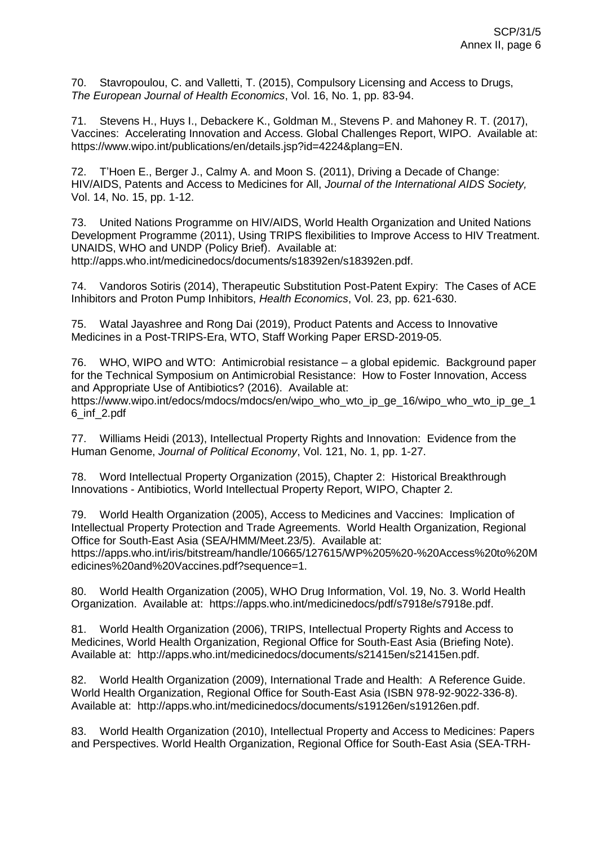70. Stavropoulou, C. and Valletti, T. (2015), Compulsory Licensing and Access to Drugs, *The European Journal of Health Economics*, Vol. 16, No. 1, pp. 83-94.

71. Stevens H., Huys I., Debackere K., Goldman M., Stevens P. and Mahoney R. T. (2017), Vaccines: Accelerating Innovation and Access. Global Challenges Report, WIPO. Available at: https://www.wipo.int/publications/en/details.jsp?id=4224&plang=EN.

72. T'Hoen E., Berger J., Calmy A. and Moon S. (2011), Driving a Decade of Change: HIV/AIDS, Patents and Access to Medicines for All, *Journal of the International AIDS Society,* Vol. 14, No. 15, pp. 1-12.

73. United Nations Programme on HIV/AIDS, World Health Organization and United Nations Development Programme (2011), Using TRIPS flexibilities to Improve Access to HIV Treatment. UNAIDS, WHO and UNDP (Policy Brief). Available at: http://apps.who.int/medicinedocs/documents/s18392en/s18392en.pdf.

74. Vandoros Sotiris (2014), Therapeutic Substitution Post-Patent Expiry: The Cases of ACE Inhibitors and Proton Pump Inhibitors, *Health Economics*, Vol. 23, pp. 621-630.

75. Watal Jayashree and Rong Dai (2019), Product Patents and Access to Innovative Medicines in a Post-TRIPS-Era, WTO, Staff Working Paper ERSD-2019-05.

76. WHO, WIPO and WTO: Antimicrobial resistance – a global epidemic. Background paper for the Technical Symposium on Antimicrobial Resistance: How to Foster Innovation, Access and Appropriate Use of Antibiotics? (2016). Available at: https://www.wipo.int/edocs/mdocs/mdocs/en/wipo\_who\_wto\_ip\_ge\_16/wipo\_who\_wto\_ip\_ge\_1 6\_inf\_2.pdf

77. Williams Heidi (2013), Intellectual Property Rights and Innovation: Evidence from the Human Genome, *Journal of Political Economy*, Vol. 121, No. 1, pp. 1-27.

78. Word Intellectual Property Organization (2015), Chapter 2: Historical Breakthrough Innovations - Antibiotics, World Intellectual Property Report, WIPO, Chapter 2.

79. World Health Organization (2005), Access to Medicines and Vaccines: Implication of Intellectual Property Protection and Trade Agreements. World Health Organization, Regional Office for South-East Asia (SEA/HMM/Meet.23/5). Available at: https://apps.who.int/iris/bitstream/handle/10665/127615/WP%205%20-%20Access%20to%20M edicines%20and%20Vaccines.pdf?sequence=1.

80. World Health Organization (2005), WHO Drug Information, Vol. 19, No. 3. World Health Organization. Available at: https://apps.who.int/medicinedocs/pdf/s7918e/s7918e.pdf.

81. World Health Organization (2006), TRIPS, Intellectual Property Rights and Access to Medicines, World Health Organization, Regional Office for South-East Asia (Briefing Note). Available at: http://apps.who.int/medicinedocs/documents/s21415en/s21415en.pdf.

82. World Health Organization (2009), International Trade and Health: A Reference Guide. World Health Organization, Regional Office for South-East Asia (ISBN 978-92-9022-336-8). Available at: http://apps.who.int/medicinedocs/documents/s19126en/s19126en.pdf.

83. World Health Organization (2010), Intellectual Property and Access to Medicines: Papers and Perspectives. World Health Organization, Regional Office for South-East Asia (SEA-TRH-